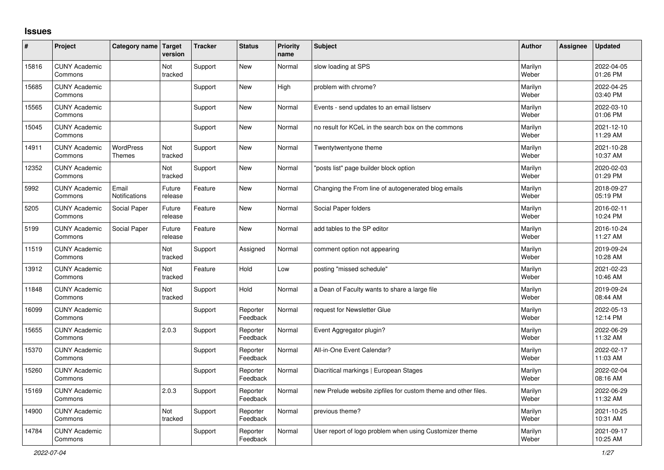## **Issues**

| ∦     | Project                         | Category name Target              | version           | <b>Tracker</b> | <b>Status</b>        | <b>Priority</b><br>name | <b>Subject</b>                                                 | <b>Author</b>    | Assignee | <b>Updated</b>         |
|-------|---------------------------------|-----------------------------------|-------------------|----------------|----------------------|-------------------------|----------------------------------------------------------------|------------------|----------|------------------------|
| 15816 | <b>CUNY Academic</b><br>Commons |                                   | Not<br>tracked    | Support        | <b>New</b>           | Normal                  | slow loading at SPS                                            | Marilyn<br>Weber |          | 2022-04-05<br>01:26 PM |
| 15685 | <b>CUNY Academic</b><br>Commons |                                   |                   | Support        | <b>New</b>           | High                    | problem with chrome?                                           | Marilyn<br>Weber |          | 2022-04-25<br>03:40 PM |
| 15565 | <b>CUNY Academic</b><br>Commons |                                   |                   | Support        | <b>New</b>           | Normal                  | Events - send updates to an email listserv                     | Marilyn<br>Weber |          | 2022-03-10<br>01:06 PM |
| 15045 | <b>CUNY Academic</b><br>Commons |                                   |                   | Support        | <b>New</b>           | Normal                  | no result for KCeL in the search box on the commons            | Marilyn<br>Weber |          | 2021-12-10<br>11:29 AM |
| 14911 | <b>CUNY Academic</b><br>Commons | <b>WordPress</b><br><b>Themes</b> | Not<br>tracked    | Support        | <b>New</b>           | Normal                  | Twentytwentyone theme                                          | Marilyn<br>Weber |          | 2021-10-28<br>10:37 AM |
| 12352 | <b>CUNY Academic</b><br>Commons |                                   | Not<br>tracked    | Support        | <b>New</b>           | Normal                  | 'posts list" page builder block option                         | Marilyn<br>Weber |          | 2020-02-03<br>01:29 PM |
| 5992  | <b>CUNY Academic</b><br>Commons | Email<br>Notifications            | Future<br>release | Feature        | <b>New</b>           | Normal                  | Changing the From line of autogenerated blog emails            | Marilyn<br>Weber |          | 2018-09-27<br>05:19 PM |
| 5205  | <b>CUNY Academic</b><br>Commons | Social Paper                      | Future<br>release | Feature        | <b>New</b>           | Normal                  | Social Paper folders                                           | Marilyn<br>Weber |          | 2016-02-11<br>10:24 PM |
| 5199  | <b>CUNY Academic</b><br>Commons | Social Paper                      | Future<br>release | Feature        | <b>New</b>           | Normal                  | add tables to the SP editor                                    | Marilyn<br>Weber |          | 2016-10-24<br>11:27 AM |
| 11519 | <b>CUNY Academic</b><br>Commons |                                   | Not<br>tracked    | Support        | Assigned             | Normal                  | comment option not appearing                                   | Marilyn<br>Weber |          | 2019-09-24<br>10:28 AM |
| 13912 | <b>CUNY Academic</b><br>Commons |                                   | Not<br>tracked    | Feature        | Hold                 | Low                     | posting "missed schedule"                                      | Marilyn<br>Weber |          | 2021-02-23<br>10:46 AM |
| 11848 | <b>CUNY Academic</b><br>Commons |                                   | Not<br>tracked    | Support        | Hold                 | Normal                  | a Dean of Faculty wants to share a large file                  | Marilyn<br>Weber |          | 2019-09-24<br>08:44 AM |
| 16099 | <b>CUNY Academic</b><br>Commons |                                   |                   | Support        | Reporter<br>Feedback | Normal                  | request for Newsletter Glue                                    | Marilyn<br>Weber |          | 2022-05-13<br>12:14 PM |
| 15655 | <b>CUNY Academic</b><br>Commons |                                   | 2.0.3             | Support        | Reporter<br>Feedback | Normal                  | Event Aggregator plugin?                                       | Marilyn<br>Weber |          | 2022-06-29<br>11:32 AM |
| 15370 | <b>CUNY Academic</b><br>Commons |                                   |                   | Support        | Reporter<br>Feedback | Normal                  | All-in-One Event Calendar?                                     | Marilyn<br>Weber |          | 2022-02-17<br>11:03 AM |
| 15260 | <b>CUNY Academic</b><br>Commons |                                   |                   | Support        | Reporter<br>Feedback | Normal                  | Diacritical markings   European Stages                         | Marilyn<br>Weber |          | 2022-02-04<br>08:16 AM |
| 15169 | <b>CUNY Academic</b><br>Commons |                                   | 2.0.3             | Support        | Reporter<br>Feedback | Normal                  | new Prelude website zipfiles for custom theme and other files. | Marilyn<br>Weber |          | 2022-06-29<br>11:32 AM |
| 14900 | <b>CUNY Academic</b><br>Commons |                                   | Not<br>tracked    | Support        | Reporter<br>Feedback | Normal                  | previous theme?                                                | Marilyn<br>Weber |          | 2021-10-25<br>10:31 AM |
| 14784 | <b>CUNY Academic</b><br>Commons |                                   |                   | Support        | Reporter<br>Feedback | Normal                  | User report of logo problem when using Customizer theme        | Marilyn<br>Weber |          | 2021-09-17<br>10:25 AM |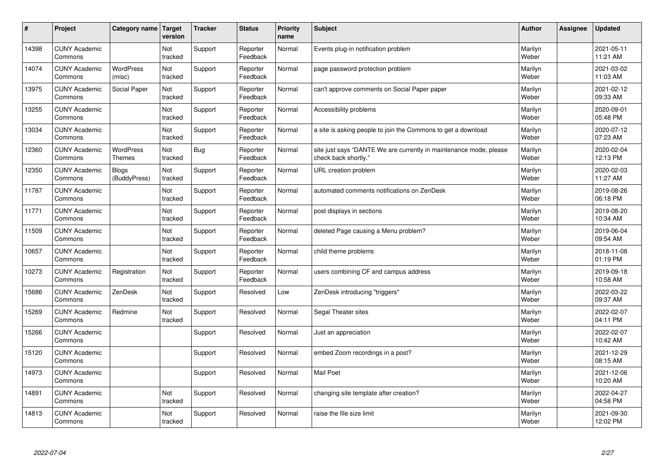| #     | Project                         | Category name                     | Target<br>version | <b>Tracker</b> | <b>Status</b>        | <b>Priority</b><br>name | <b>Subject</b>                                                                             | <b>Author</b>    | Assignee | <b>Updated</b>         |
|-------|---------------------------------|-----------------------------------|-------------------|----------------|----------------------|-------------------------|--------------------------------------------------------------------------------------------|------------------|----------|------------------------|
| 14398 | <b>CUNY Academic</b><br>Commons |                                   | Not<br>tracked    | Support        | Reporter<br>Feedback | Normal                  | Events plug-in notification problem                                                        | Marilyn<br>Weber |          | 2021-05-11<br>11:21 AM |
| 14074 | <b>CUNY Academic</b><br>Commons | <b>WordPress</b><br>(misc)        | Not<br>tracked    | Support        | Reporter<br>Feedback | Normal                  | page password protection problem                                                           | Marilyn<br>Weber |          | 2021-03-02<br>11:03 AM |
| 13975 | <b>CUNY Academic</b><br>Commons | Social Paper                      | Not<br>tracked    | Support        | Reporter<br>Feedback | Normal                  | can't approve comments on Social Paper paper                                               | Marilyn<br>Weber |          | 2021-02-12<br>09:33 AM |
| 13255 | <b>CUNY Academic</b><br>Commons |                                   | Not<br>tracked    | Support        | Reporter<br>Feedback | Normal                  | Accessibility problems                                                                     | Marilyn<br>Weber |          | 2020-09-01<br>05:48 PM |
| 13034 | <b>CUNY Academic</b><br>Commons |                                   | Not<br>tracked    | Support        | Reporter<br>Feedback | Normal                  | a site is asking people to join the Commons to get a download                              | Marilyn<br>Weber |          | 2020-07-12<br>07:23 AM |
| 12360 | <b>CUNY Academic</b><br>Commons | <b>WordPress</b><br><b>Themes</b> | Not<br>tracked    | Bug            | Reporter<br>Feedback | Normal                  | site just says "DANTE We are currently in maintenance mode, please<br>check back shortly." | Marilyn<br>Weber |          | 2020-02-04<br>12:13 PM |
| 12350 | <b>CUNY Academic</b><br>Commons | <b>Blogs</b><br>(BuddyPress)      | Not<br>tracked    | Support        | Reporter<br>Feedback | Normal                  | URL creation problem                                                                       | Marilyn<br>Weber |          | 2020-02-03<br>11:27 AM |
| 11787 | <b>CUNY Academic</b><br>Commons |                                   | Not<br>tracked    | Support        | Reporter<br>Feedback | Normal                  | automated comments notifications on ZenDesk                                                | Marilyn<br>Weber |          | 2019-08-26<br>06:18 PM |
| 11771 | <b>CUNY Academic</b><br>Commons |                                   | Not<br>tracked    | Support        | Reporter<br>Feedback | Normal                  | post displays in sections                                                                  | Marilyn<br>Weber |          | 2019-08-20<br>10:34 AM |
| 11509 | <b>CUNY Academic</b><br>Commons |                                   | Not<br>tracked    | Support        | Reporter<br>Feedback | Normal                  | deleted Page causing a Menu problem?                                                       | Marilyn<br>Weber |          | 2019-06-04<br>09:54 AM |
| 10657 | <b>CUNY Academic</b><br>Commons |                                   | Not<br>tracked    | Support        | Reporter<br>Feedback | Normal                  | child theme problems                                                                       | Marilyn<br>Weber |          | 2018-11-08<br>01:19 PM |
| 10273 | <b>CUNY Academic</b><br>Commons | Registration                      | Not<br>tracked    | Support        | Reporter<br>Feedback | Normal                  | users combining CF and campus address                                                      | Marilyn<br>Weber |          | 2019-09-18<br>10:58 AM |
| 15686 | <b>CUNY Academic</b><br>Commons | ZenDesk                           | Not<br>tracked    | Support        | Resolved             | Low                     | ZenDesk introducing "triggers"                                                             | Marilyn<br>Weber |          | 2022-03-22<br>09:37 AM |
| 15269 | <b>CUNY Academic</b><br>Commons | Redmine                           | Not<br>tracked    | Support        | Resolved             | Normal                  | Segal Theater sites                                                                        | Marilyn<br>Weber |          | 2022-02-07<br>04:11 PM |
| 15266 | <b>CUNY Academic</b><br>Commons |                                   |                   | Support        | Resolved             | Normal                  | Just an appreciation                                                                       | Marilyn<br>Weber |          | 2022-02-07<br>10:42 AM |
| 15120 | <b>CUNY Academic</b><br>Commons |                                   |                   | Support        | Resolved             | Normal                  | embed Zoom recordings in a post?                                                           | Marilyn<br>Weber |          | 2021-12-29<br>08:15 AM |
| 14973 | <b>CUNY Academic</b><br>Commons |                                   |                   | Support        | Resolved             | Normal                  | Mail Poet                                                                                  | Marilyn<br>Weber |          | 2021-12-06<br>10:20 AM |
| 14891 | <b>CUNY Academic</b><br>Commons |                                   | Not<br>tracked    | Support        | Resolved             | Normal                  | changing site template after creation?                                                     | Marilyn<br>Weber |          | 2022-04-27<br>04:58 PM |
| 14813 | <b>CUNY Academic</b><br>Commons |                                   | Not<br>tracked    | Support        | Resolved             | Normal                  | raise the file size limit                                                                  | Marilyn<br>Weber |          | 2021-09-30<br>12:02 PM |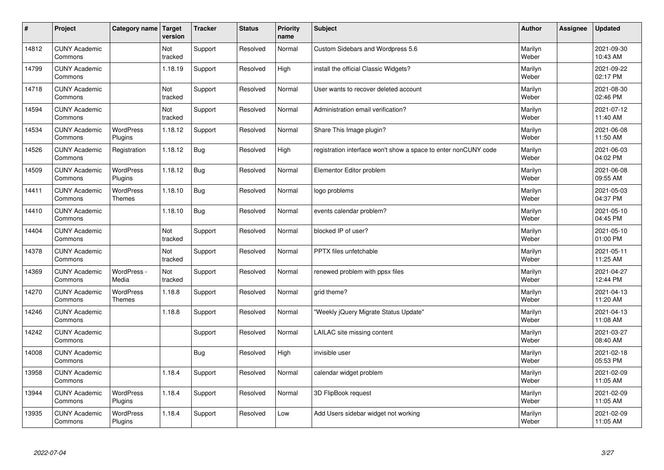| $\sharp$ | Project                         | Category name                     | Target<br>version | <b>Tracker</b> | <b>Status</b> | <b>Priority</b><br>name | <b>Subject</b>                                                  | <b>Author</b>    | Assignee | <b>Updated</b>         |
|----------|---------------------------------|-----------------------------------|-------------------|----------------|---------------|-------------------------|-----------------------------------------------------------------|------------------|----------|------------------------|
| 14812    | <b>CUNY Academic</b><br>Commons |                                   | Not<br>tracked    | Support        | Resolved      | Normal                  | Custom Sidebars and Wordpress 5.6                               | Marilyn<br>Weber |          | 2021-09-30<br>10:43 AM |
| 14799    | <b>CUNY Academic</b><br>Commons |                                   | 1.18.19           | Support        | Resolved      | High                    | install the official Classic Widgets?                           | Marilyn<br>Weber |          | 2021-09-22<br>02:17 PM |
| 14718    | <b>CUNY Academic</b><br>Commons |                                   | Not<br>tracked    | Support        | Resolved      | Normal                  | User wants to recover deleted account                           | Marilyn<br>Weber |          | 2021-08-30<br>02:46 PM |
| 14594    | <b>CUNY Academic</b><br>Commons |                                   | Not<br>tracked    | Support        | Resolved      | Normal                  | Administration email verification?                              | Marilyn<br>Weber |          | 2021-07-12<br>11:40 AM |
| 14534    | <b>CUNY Academic</b><br>Commons | <b>WordPress</b><br>Plugins       | 1.18.12           | Support        | Resolved      | Normal                  | Share This Image plugin?                                        | Marilyn<br>Weber |          | 2021-06-08<br>11:50 AM |
| 14526    | <b>CUNY Academic</b><br>Commons | Registration                      | 1.18.12           | <b>Bug</b>     | Resolved      | High                    | registration interface won't show a space to enter nonCUNY code | Marilyn<br>Weber |          | 2021-06-03<br>04:02 PM |
| 14509    | <b>CUNY Academic</b><br>Commons | <b>WordPress</b><br>Plugins       | 1.18.12           | <b>Bug</b>     | Resolved      | Normal                  | Elementor Editor problem                                        | Marilyn<br>Weber |          | 2021-06-08<br>09:55 AM |
| 14411    | <b>CUNY Academic</b><br>Commons | <b>WordPress</b><br><b>Themes</b> | 1.18.10           | <b>Bug</b>     | Resolved      | Normal                  | logo problems                                                   | Marilyn<br>Weber |          | 2021-05-03<br>04:37 PM |
| 14410    | <b>CUNY Academic</b><br>Commons |                                   | 1.18.10           | Bug            | Resolved      | Normal                  | events calendar problem?                                        | Marilyn<br>Weber |          | 2021-05-10<br>04:45 PM |
| 14404    | <b>CUNY Academic</b><br>Commons |                                   | Not<br>tracked    | Support        | Resolved      | Normal                  | blocked IP of user?                                             | Marilyn<br>Weber |          | 2021-05-10<br>01:00 PM |
| 14378    | <b>CUNY Academic</b><br>Commons |                                   | Not<br>tracked    | Support        | Resolved      | Normal                  | PPTX files unfetchable                                          | Marilyn<br>Weber |          | 2021-05-11<br>11:25 AM |
| 14369    | <b>CUNY Academic</b><br>Commons | WordPress -<br>Media              | Not<br>tracked    | Support        | Resolved      | Normal                  | renewed problem with ppsx files                                 | Marilyn<br>Weber |          | 2021-04-27<br>12:44 PM |
| 14270    | <b>CUNY Academic</b><br>Commons | <b>WordPress</b><br>Themes        | 1.18.8            | Support        | Resolved      | Normal                  | grid theme?                                                     | Marilyn<br>Weber |          | 2021-04-13<br>11:20 AM |
| 14246    | <b>CUNY Academic</b><br>Commons |                                   | 1.18.8            | Support        | Resolved      | Normal                  | 'Weekly jQuery Migrate Status Update"                           | Marilyn<br>Weber |          | 2021-04-13<br>11:08 AM |
| 14242    | <b>CUNY Academic</b><br>Commons |                                   |                   | Support        | Resolved      | Normal                  | LAILAC site missing content                                     | Marilyn<br>Weber |          | 2021-03-27<br>08:40 AM |
| 14008    | <b>CUNY Academic</b><br>Commons |                                   |                   | <b>Bug</b>     | Resolved      | High                    | invisible user                                                  | Marilyn<br>Weber |          | 2021-02-18<br>05:53 PM |
| 13958    | <b>CUNY Academic</b><br>Commons |                                   | 1.18.4            | Support        | Resolved      | Normal                  | calendar widget problem                                         | Marilyn<br>Weber |          | 2021-02-09<br>11:05 AM |
| 13944    | <b>CUNY Academic</b><br>Commons | WordPress<br>Plugins              | 1.18.4            | Support        | Resolved      | Normal                  | 3D FlipBook request                                             | Marilyn<br>Weber |          | 2021-02-09<br>11:05 AM |
| 13935    | <b>CUNY Academic</b><br>Commons | <b>WordPress</b><br>Plugins       | 1.18.4            | Support        | Resolved      | Low                     | Add Users sidebar widget not working                            | Marilyn<br>Weber |          | 2021-02-09<br>11:05 AM |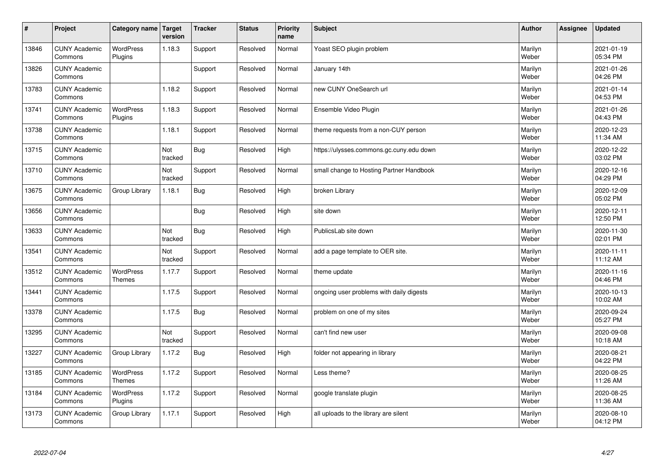| $\sharp$ | Project                         | Category name   Target      | version               | <b>Tracker</b> | <b>Status</b> | <b>Priority</b><br>name | <b>Subject</b>                           | <b>Author</b>    | Assignee | <b>Updated</b>         |
|----------|---------------------------------|-----------------------------|-----------------------|----------------|---------------|-------------------------|------------------------------------------|------------------|----------|------------------------|
| 13846    | <b>CUNY Academic</b><br>Commons | <b>WordPress</b><br>Plugins | 1.18.3                | Support        | Resolved      | Normal                  | Yoast SEO plugin problem                 | Marilyn<br>Weber |          | 2021-01-19<br>05:34 PM |
| 13826    | <b>CUNY Academic</b><br>Commons |                             |                       | Support        | Resolved      | Normal                  | January 14th                             | Marilyn<br>Weber |          | 2021-01-26<br>04:26 PM |
| 13783    | <b>CUNY Academic</b><br>Commons |                             | 1.18.2                | Support        | Resolved      | Normal                  | new CUNY OneSearch url                   | Marilyn<br>Weber |          | 2021-01-14<br>04:53 PM |
| 13741    | <b>CUNY Academic</b><br>Commons | <b>WordPress</b><br>Plugins | 1.18.3                | Support        | Resolved      | Normal                  | Ensemble Video Plugin                    | Marilyn<br>Weber |          | 2021-01-26<br>04:43 PM |
| 13738    | <b>CUNY Academic</b><br>Commons |                             | 1.18.1                | Support        | Resolved      | Normal                  | theme requests from a non-CUY person     | Marilyn<br>Weber |          | 2020-12-23<br>11:34 AM |
| 13715    | <b>CUNY Academic</b><br>Commons |                             | <b>Not</b><br>tracked | <b>Bug</b>     | Resolved      | High                    | https://ulysses.commons.gc.cuny.edu down | Marilyn<br>Weber |          | 2020-12-22<br>03:02 PM |
| 13710    | <b>CUNY Academic</b><br>Commons |                             | Not<br>tracked        | Support        | Resolved      | Normal                  | small change to Hosting Partner Handbook | Marilyn<br>Weber |          | 2020-12-16<br>04:29 PM |
| 13675    | <b>CUNY Academic</b><br>Commons | Group Library               | 1.18.1                | <b>Bug</b>     | Resolved      | High                    | broken Library                           | Marilyn<br>Weber |          | 2020-12-09<br>05:02 PM |
| 13656    | <b>CUNY Academic</b><br>Commons |                             |                       | <b>Bug</b>     | Resolved      | High                    | site down                                | Marilyn<br>Weber |          | 2020-12-11<br>12:50 PM |
| 13633    | <b>CUNY Academic</b><br>Commons |                             | Not<br>tracked        | Bug            | Resolved      | High                    | PublicsLab site down                     | Marilyn<br>Weber |          | 2020-11-30<br>02:01 PM |
| 13541    | <b>CUNY Academic</b><br>Commons |                             | Not<br>tracked        | Support        | Resolved      | Normal                  | add a page template to OER site.         | Marilyn<br>Weber |          | 2020-11-11<br>11:12 AM |
| 13512    | <b>CUNY Academic</b><br>Commons | <b>WordPress</b><br>Themes  | 1.17.7                | Support        | Resolved      | Normal                  | theme update                             | Marilyn<br>Weber |          | 2020-11-16<br>04:46 PM |
| 13441    | <b>CUNY Academic</b><br>Commons |                             | 1.17.5                | Support        | Resolved      | Normal                  | ongoing user problems with daily digests | Marilyn<br>Weber |          | 2020-10-13<br>10:02 AM |
| 13378    | <b>CUNY Academic</b><br>Commons |                             | 1.17.5                | Bug            | Resolved      | Normal                  | problem on one of my sites               | Marilyn<br>Weber |          | 2020-09-24<br>05:27 PM |
| 13295    | <b>CUNY Academic</b><br>Commons |                             | Not<br>tracked        | Support        | Resolved      | Normal                  | can't find new user                      | Marilyn<br>Weber |          | 2020-09-08<br>10:18 AM |
| 13227    | <b>CUNY Academic</b><br>Commons | Group Library               | 1.17.2                | Bug            | Resolved      | High                    | folder not appearing in library          | Marilyn<br>Weber |          | 2020-08-21<br>04:22 PM |
| 13185    | <b>CUNY Academic</b><br>Commons | WordPress<br>Themes         | 1.17.2                | Support        | Resolved      | Normal                  | Less theme?                              | Marilyn<br>Weber |          | 2020-08-25<br>11:26 AM |
| 13184    | <b>CUNY Academic</b><br>Commons | <b>WordPress</b><br>Plugins | 1.17.2                | Support        | Resolved      | Normal                  | google translate plugin                  | Marilyn<br>Weber |          | 2020-08-25<br>11:36 AM |
| 13173    | <b>CUNY Academic</b><br>Commons | Group Library               | 1.17.1                | Support        | Resolved      | High                    | all uploads to the library are silent    | Marilyn<br>Weber |          | 2020-08-10<br>04:12 PM |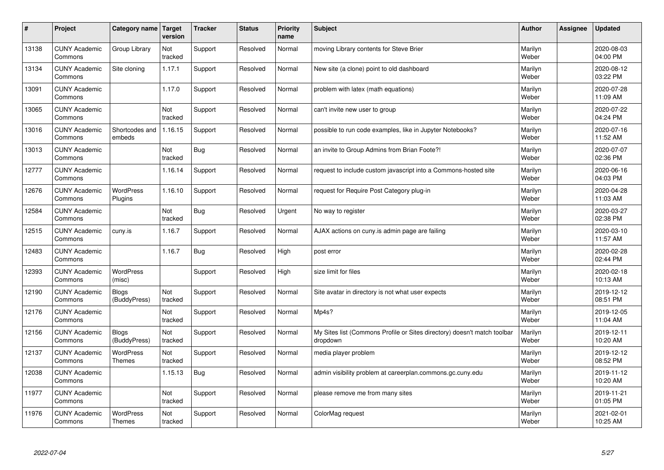| #     | Project                         | Category name                     | Target<br>version | <b>Tracker</b> | <b>Status</b> | <b>Priority</b><br>name | <b>Subject</b>                                                                       | <b>Author</b>    | Assignee | <b>Updated</b>         |
|-------|---------------------------------|-----------------------------------|-------------------|----------------|---------------|-------------------------|--------------------------------------------------------------------------------------|------------------|----------|------------------------|
| 13138 | <b>CUNY Academic</b><br>Commons | Group Library                     | Not<br>tracked    | Support        | Resolved      | Normal                  | moving Library contents for Steve Brier                                              | Marilyn<br>Weber |          | 2020-08-03<br>04:00 PM |
| 13134 | <b>CUNY Academic</b><br>Commons | Site cloning                      | 1.17.1            | Support        | Resolved      | Normal                  | New site (a clone) point to old dashboard                                            | Marilyn<br>Weber |          | 2020-08-12<br>03:22 PM |
| 13091 | <b>CUNY Academic</b><br>Commons |                                   | 1.17.0            | Support        | Resolved      | Normal                  | problem with latex (math equations)                                                  | Marilyn<br>Weber |          | 2020-07-28<br>11:09 AM |
| 13065 | <b>CUNY Academic</b><br>Commons |                                   | Not<br>tracked    | Support        | Resolved      | Normal                  | can't invite new user to group                                                       | Marilyn<br>Weber |          | 2020-07-22<br>04:24 PM |
| 13016 | <b>CUNY Academic</b><br>Commons | Shortcodes and<br>embeds          | 1.16.15           | Support        | Resolved      | Normal                  | possible to run code examples, like in Jupyter Notebooks?                            | Marilyn<br>Weber |          | 2020-07-16<br>11:52 AM |
| 13013 | <b>CUNY Academic</b><br>Commons |                                   | Not<br>tracked    | <b>Bug</b>     | Resolved      | Normal                  | an invite to Group Admins from Brian Foote?!                                         | Marilyn<br>Weber |          | 2020-07-07<br>02:36 PM |
| 12777 | <b>CUNY Academic</b><br>Commons |                                   | 1.16.14           | Support        | Resolved      | Normal                  | request to include custom javascript into a Commons-hosted site                      | Marilyn<br>Weber |          | 2020-06-16<br>04:03 PM |
| 12676 | <b>CUNY Academic</b><br>Commons | <b>WordPress</b><br>Plugins       | 1.16.10           | Support        | Resolved      | Normal                  | request for Require Post Category plug-in                                            | Marilyn<br>Weber |          | 2020-04-28<br>11:03 AM |
| 12584 | <b>CUNY Academic</b><br>Commons |                                   | Not<br>tracked    | Bug            | Resolved      | Urgent                  | No way to register                                                                   | Marilyn<br>Weber |          | 2020-03-27<br>02:38 PM |
| 12515 | <b>CUNY Academic</b><br>Commons | cuny.is                           | 1.16.7            | Support        | Resolved      | Normal                  | AJAX actions on cuny is admin page are failing                                       | Marilyn<br>Weber |          | 2020-03-10<br>11:57 AM |
| 12483 | <b>CUNY Academic</b><br>Commons |                                   | 1.16.7            | Bug            | Resolved      | High                    | post error                                                                           | Marilyn<br>Weber |          | 2020-02-28<br>02:44 PM |
| 12393 | <b>CUNY Academic</b><br>Commons | <b>WordPress</b><br>(misc)        |                   | Support        | Resolved      | High                    | size limit for files                                                                 | Marilyn<br>Weber |          | 2020-02-18<br>10:13 AM |
| 12190 | <b>CUNY Academic</b><br>Commons | <b>Blogs</b><br>(BuddyPress)      | Not<br>tracked    | Support        | Resolved      | Normal                  | Site avatar in directory is not what user expects                                    | Marilyn<br>Weber |          | 2019-12-12<br>08:51 PM |
| 12176 | <b>CUNY Academic</b><br>Commons |                                   | Not<br>tracked    | Support        | Resolved      | Normal                  | Mp4s?                                                                                | Marilyn<br>Weber |          | 2019-12-05<br>11:04 AM |
| 12156 | <b>CUNY Academic</b><br>Commons | <b>Blogs</b><br>(BuddyPress)      | Not<br>tracked    | Support        | Resolved      | Normal                  | My Sites list (Commons Profile or Sites directory) doesn't match toolbar<br>dropdown | Marilyn<br>Weber |          | 2019-12-11<br>10:20 AM |
| 12137 | <b>CUNY Academic</b><br>Commons | <b>WordPress</b><br><b>Themes</b> | Not<br>tracked    | Support        | Resolved      | Normal                  | media player problem                                                                 | Marilyn<br>Weber |          | 2019-12-12<br>08:52 PM |
| 12038 | <b>CUNY Academic</b><br>Commons |                                   | 1.15.13           | Bug            | Resolved      | Normal                  | admin visibility problem at careerplan.commons.gc.cuny.edu                           | Marilyn<br>Weber |          | 2019-11-12<br>10:20 AM |
| 11977 | <b>CUNY Academic</b><br>Commons |                                   | Not<br>tracked    | Support        | Resolved      | Normal                  | please remove me from many sites                                                     | Marilyn<br>Weber |          | 2019-11-21<br>01:05 PM |
| 11976 | <b>CUNY Academic</b><br>Commons | <b>WordPress</b><br>Themes        | Not<br>tracked    | Support        | Resolved      | Normal                  | ColorMag request                                                                     | Marilyn<br>Weber |          | 2021-02-01<br>10:25 AM |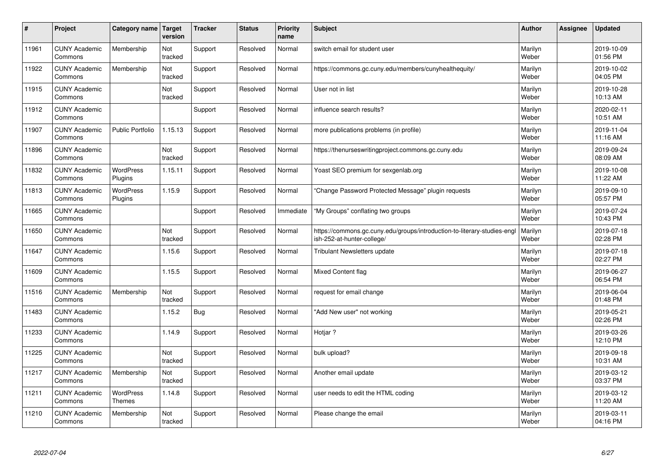| $\sharp$ | Project                         | Category name               | Target<br>version | <b>Tracker</b> | <b>Status</b> | <b>Priority</b><br>name | <b>Subject</b>                                                                                         | <b>Author</b>    | Assignee | <b>Updated</b>         |
|----------|---------------------------------|-----------------------------|-------------------|----------------|---------------|-------------------------|--------------------------------------------------------------------------------------------------------|------------------|----------|------------------------|
| 11961    | <b>CUNY Academic</b><br>Commons | Membership                  | Not<br>tracked    | Support        | Resolved      | Normal                  | switch email for student user                                                                          | Marilyn<br>Weber |          | 2019-10-09<br>01:56 PM |
| 11922    | <b>CUNY Academic</b><br>Commons | Membership                  | Not<br>tracked    | Support        | Resolved      | Normal                  | https://commons.gc.cuny.edu/members/cunyhealthequity/                                                  | Marilyn<br>Weber |          | 2019-10-02<br>04:05 PM |
| 11915    | <b>CUNY Academic</b><br>Commons |                             | Not<br>tracked    | Support        | Resolved      | Normal                  | User not in list                                                                                       | Marilyn<br>Weber |          | 2019-10-28<br>10:13 AM |
| 11912    | <b>CUNY Academic</b><br>Commons |                             |                   | Support        | Resolved      | Normal                  | influence search results?                                                                              | Marilyn<br>Weber |          | 2020-02-11<br>10:51 AM |
| 11907    | <b>CUNY Academic</b><br>Commons | <b>Public Portfolio</b>     | 1.15.13           | Support        | Resolved      | Normal                  | more publications problems (in profile)                                                                | Marilyn<br>Weber |          | 2019-11-04<br>11:16 AM |
| 11896    | <b>CUNY Academic</b><br>Commons |                             | Not<br>tracked    | Support        | Resolved      | Normal                  | https://thenurseswritingproject.commons.gc.cuny.edu                                                    | Marilyn<br>Weber |          | 2019-09-24<br>08:09 AM |
| 11832    | <b>CUNY Academic</b><br>Commons | <b>WordPress</b><br>Plugins | 1.15.11           | Support        | Resolved      | Normal                  | Yoast SEO premium for sexgenlab.org                                                                    | Marilyn<br>Weber |          | 2019-10-08<br>11:22 AM |
| 11813    | <b>CUNY Academic</b><br>Commons | WordPress<br>Plugins        | 1.15.9            | Support        | Resolved      | Normal                  | 'Change Password Protected Message" plugin requests                                                    | Marilyn<br>Weber |          | 2019-09-10<br>05:57 PM |
| 11665    | <b>CUNY Academic</b><br>Commons |                             |                   | Support        | Resolved      | Immediate               | "My Groups" conflating two groups                                                                      | Marilyn<br>Weber |          | 2019-07-24<br>10:43 PM |
| 11650    | <b>CUNY Academic</b><br>Commons |                             | Not<br>tracked    | Support        | Resolved      | Normal                  | https://commons.gc.cuny.edu/groups/introduction-to-literary-studies-engl<br>ish-252-at-hunter-college/ | Marilyn<br>Weber |          | 2019-07-18<br>02:28 PM |
| 11647    | <b>CUNY Academic</b><br>Commons |                             | 1.15.6            | Support        | Resolved      | Normal                  | <b>Tribulant Newsletters update</b>                                                                    | Marilyn<br>Weber |          | 2019-07-18<br>02:27 PM |
| 11609    | <b>CUNY Academic</b><br>Commons |                             | 1.15.5            | Support        | Resolved      | Normal                  | <b>Mixed Content flag</b>                                                                              | Marilyn<br>Weber |          | 2019-06-27<br>06:54 PM |
| 11516    | <b>CUNY Academic</b><br>Commons | Membership                  | Not<br>tracked    | Support        | Resolved      | Normal                  | request for email change                                                                               | Marilyn<br>Weber |          | 2019-06-04<br>01:48 PM |
| 11483    | <b>CUNY Academic</b><br>Commons |                             | 1.15.2            | Bug            | Resolved      | Normal                  | 'Add New user" not working                                                                             | Marilyn<br>Weber |          | 2019-05-21<br>02:26 PM |
| 11233    | <b>CUNY Academic</b><br>Commons |                             | 1.14.9            | Support        | Resolved      | Normal                  | Hotjar?                                                                                                | Marilyn<br>Weber |          | 2019-03-26<br>12:10 PM |
| 11225    | <b>CUNY Academic</b><br>Commons |                             | Not<br>tracked    | Support        | Resolved      | Normal                  | bulk upload?                                                                                           | Marilyn<br>Weber |          | 2019-09-18<br>10:31 AM |
| 11217    | <b>CUNY Academic</b><br>Commons | Membership                  | Not<br>tracked    | Support        | Resolved      | Normal                  | Another email update                                                                                   | Marilyn<br>Weber |          | 2019-03-12<br>03:37 PM |
| 11211    | <b>CUNY Academic</b><br>Commons | <b>WordPress</b><br>Themes  | 1.14.8            | Support        | Resolved      | Normal                  | user needs to edit the HTML coding                                                                     | Marilyn<br>Weber |          | 2019-03-12<br>11:20 AM |
| 11210    | <b>CUNY Academic</b><br>Commons | Membership                  | Not<br>tracked    | Support        | Resolved      | Normal                  | Please change the email                                                                                | Marilyn<br>Weber |          | 2019-03-11<br>04:16 PM |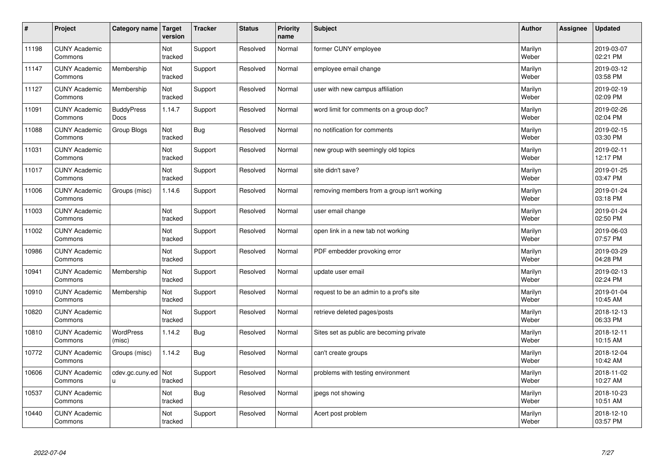| #     | Project                         | Category name   Target    | version        | <b>Tracker</b> | <b>Status</b> | <b>Priority</b><br>name | <b>Subject</b>                              | <b>Author</b>    | <b>Assignee</b> | <b>Updated</b>         |
|-------|---------------------------------|---------------------------|----------------|----------------|---------------|-------------------------|---------------------------------------------|------------------|-----------------|------------------------|
| 11198 | <b>CUNY Academic</b><br>Commons |                           | Not<br>tracked | Support        | Resolved      | Normal                  | former CUNY employee                        | Marilyn<br>Weber |                 | 2019-03-07<br>02:21 PM |
| 11147 | <b>CUNY Academic</b><br>Commons | Membership                | Not<br>tracked | Support        | Resolved      | Normal                  | employee email change                       | Marilyn<br>Weber |                 | 2019-03-12<br>03:58 PM |
| 11127 | <b>CUNY Academic</b><br>Commons | Membership                | Not<br>tracked | Support        | Resolved      | Normal                  | user with new campus affiliation            | Marilyn<br>Weber |                 | 2019-02-19<br>02:09 PM |
| 11091 | <b>CUNY Academic</b><br>Commons | <b>BuddyPress</b><br>Docs | 1.14.7         | Support        | Resolved      | Normal                  | word limit for comments on a group doc?     | Marilyn<br>Weber |                 | 2019-02-26<br>02:04 PM |
| 11088 | <b>CUNY Academic</b><br>Commons | Group Blogs               | Not<br>tracked | <b>Bug</b>     | Resolved      | Normal                  | no notification for comments                | Marilyn<br>Weber |                 | 2019-02-15<br>03:30 PM |
| 11031 | <b>CUNY Academic</b><br>Commons |                           | Not<br>tracked | Support        | Resolved      | Normal                  | new group with seemingly old topics         | Marilyn<br>Weber |                 | 2019-02-11<br>12:17 PM |
| 11017 | <b>CUNY Academic</b><br>Commons |                           | Not<br>tracked | Support        | Resolved      | Normal                  | site didn't save?                           | Marilyn<br>Weber |                 | 2019-01-25<br>03:47 PM |
| 11006 | <b>CUNY Academic</b><br>Commons | Groups (misc)             | 1.14.6         | Support        | Resolved      | Normal                  | removing members from a group isn't working | Marilyn<br>Weber |                 | 2019-01-24<br>03:18 PM |
| 11003 | <b>CUNY Academic</b><br>Commons |                           | Not<br>tracked | Support        | Resolved      | Normal                  | user email change                           | Marilyn<br>Weber |                 | 2019-01-24<br>02:50 PM |
| 11002 | <b>CUNY Academic</b><br>Commons |                           | Not<br>tracked | Support        | Resolved      | Normal                  | open link in a new tab not working          | Marilyn<br>Weber |                 | 2019-06-03<br>07:57 PM |
| 10986 | <b>CUNY Academic</b><br>Commons |                           | Not<br>tracked | Support        | Resolved      | Normal                  | PDF embedder provoking error                | Marilyn<br>Weber |                 | 2019-03-29<br>04:28 PM |
| 10941 | <b>CUNY Academic</b><br>Commons | Membership                | Not<br>tracked | Support        | Resolved      | Normal                  | update user email                           | Marilyn<br>Weber |                 | 2019-02-13<br>02:24 PM |
| 10910 | <b>CUNY Academic</b><br>Commons | Membership                | Not<br>tracked | Support        | Resolved      | Normal                  | request to be an admin to a prof's site     | Marilyn<br>Weber |                 | 2019-01-04<br>10:45 AM |
| 10820 | <b>CUNY Academic</b><br>Commons |                           | Not<br>tracked | Support        | Resolved      | Normal                  | retrieve deleted pages/posts                | Marilyn<br>Weber |                 | 2018-12-13<br>06:33 PM |
| 10810 | <b>CUNY Academic</b><br>Commons | WordPress<br>(misc)       | 1.14.2         | <b>Bug</b>     | Resolved      | Normal                  | Sites set as public are becoming private    | Marilyn<br>Weber |                 | 2018-12-11<br>10:15 AM |
| 10772 | <b>CUNY Academic</b><br>Commons | Groups (misc)             | 1.14.2         | Bug            | Resolved      | Normal                  | can't create groups                         | Marilyn<br>Weber |                 | 2018-12-04<br>10:42 AM |
| 10606 | <b>CUNY Academic</b><br>Commons | cdev.gc.cuny.ed<br>u      | Not<br>tracked | Support        | Resolved      | Normal                  | problems with testing environment           | Marilyn<br>Weber |                 | 2018-11-02<br>10:27 AM |
| 10537 | <b>CUNY Academic</b><br>Commons |                           | Not<br>tracked | Bug            | Resolved      | Normal                  | jpegs not showing                           | Marilyn<br>Weber |                 | 2018-10-23<br>10:51 AM |
| 10440 | <b>CUNY Academic</b><br>Commons |                           | Not<br>tracked | Support        | Resolved      | Normal                  | Acert post problem                          | Marilyn<br>Weber |                 | 2018-12-10<br>03:57 PM |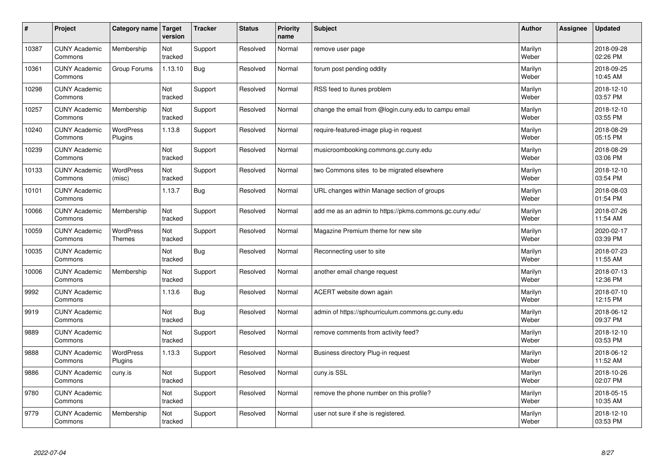| $\sharp$ | Project                         | Category name               | Target<br>version | <b>Tracker</b> | <b>Status</b> | <b>Priority</b><br>name | <b>Subject</b>                                          | <b>Author</b>    | Assignee | <b>Updated</b>         |
|----------|---------------------------------|-----------------------------|-------------------|----------------|---------------|-------------------------|---------------------------------------------------------|------------------|----------|------------------------|
| 10387    | <b>CUNY Academic</b><br>Commons | Membership                  | Not<br>tracked    | Support        | Resolved      | Normal                  | remove user page                                        | Marilyn<br>Weber |          | 2018-09-28<br>02:26 PM |
| 10361    | <b>CUNY Academic</b><br>Commons | Group Forums                | 1.13.10           | <b>Bug</b>     | Resolved      | Normal                  | forum post pending oddity                               | Marilyn<br>Weber |          | 2018-09-25<br>10:45 AM |
| 10298    | <b>CUNY Academic</b><br>Commons |                             | Not<br>tracked    | Support        | Resolved      | Normal                  | RSS feed to itunes problem                              | Marilyn<br>Weber |          | 2018-12-10<br>03:57 PM |
| 10257    | <b>CUNY Academic</b><br>Commons | Membership                  | Not<br>tracked    | Support        | Resolved      | Normal                  | change the email from @login.cuny.edu to campu email    | Marilyn<br>Weber |          | 2018-12-10<br>03:55 PM |
| 10240    | <b>CUNY Academic</b><br>Commons | <b>WordPress</b><br>Plugins | 1.13.8            | Support        | Resolved      | Normal                  | require-featured-image plug-in request                  | Marilyn<br>Weber |          | 2018-08-29<br>05:15 PM |
| 10239    | <b>CUNY Academic</b><br>Commons |                             | Not<br>tracked    | Support        | Resolved      | Normal                  | musicroombooking.commons.gc.cuny.edu                    | Marilyn<br>Weber |          | 2018-08-29<br>03:06 PM |
| 10133    | <b>CUNY Academic</b><br>Commons | <b>WordPress</b><br>(misc)  | Not<br>tracked    | Support        | Resolved      | Normal                  | two Commons sites to be migrated elsewhere              | Marilyn<br>Weber |          | 2018-12-10<br>03:54 PM |
| 10101    | <b>CUNY Academic</b><br>Commons |                             | 1.13.7            | Bug            | Resolved      | Normal                  | URL changes within Manage section of groups             | Marilyn<br>Weber |          | 2018-08-03<br>01:54 PM |
| 10066    | <b>CUNY Academic</b><br>Commons | Membership                  | Not<br>tracked    | Support        | Resolved      | Normal                  | add me as an admin to https://pkms.commons.gc.cuny.edu/ | Marilyn<br>Weber |          | 2018-07-26<br>11:54 AM |
| 10059    | <b>CUNY Academic</b><br>Commons | <b>WordPress</b><br>Themes  | Not<br>tracked    | Support        | Resolved      | Normal                  | Magazine Premium theme for new site                     | Marilyn<br>Weber |          | 2020-02-17<br>03:39 PM |
| 10035    | <b>CUNY Academic</b><br>Commons |                             | Not<br>tracked    | <b>Bug</b>     | Resolved      | Normal                  | Reconnecting user to site                               | Marilyn<br>Weber |          | 2018-07-23<br>11:55 AM |
| 10006    | <b>CUNY Academic</b><br>Commons | Membership                  | Not<br>tracked    | Support        | Resolved      | Normal                  | another email change request                            | Marilyn<br>Weber |          | 2018-07-13<br>12:36 PM |
| 9992     | <b>CUNY Academic</b><br>Commons |                             | 1.13.6            | <b>Bug</b>     | Resolved      | Normal                  | ACERT website down again                                | Marilyn<br>Weber |          | 2018-07-10<br>12:15 PM |
| 9919     | <b>CUNY Academic</b><br>Commons |                             | Not<br>tracked    | <b>Bug</b>     | Resolved      | Normal                  | admin of https://sphcurriculum.commons.gc.cuny.edu      | Marilyn<br>Weber |          | 2018-06-12<br>09:37 PM |
| 9889     | <b>CUNY Academic</b><br>Commons |                             | Not<br>tracked    | Support        | Resolved      | Normal                  | remove comments from activity feed?                     | Marilyn<br>Weber |          | 2018-12-10<br>03:53 PM |
| 9888     | <b>CUNY Academic</b><br>Commons | <b>WordPress</b><br>Plugins | 1.13.3            | Support        | Resolved      | Normal                  | Business directory Plug-in request                      | Marilyn<br>Weber |          | 2018-06-12<br>11:52 AM |
| 9886     | <b>CUNY Academic</b><br>Commons | cuny.is                     | Not<br>tracked    | Support        | Resolved      | Normal                  | cuny.is SSL                                             | Marilyn<br>Weber |          | 2018-10-26<br>02:07 PM |
| 9780     | <b>CUNY Academic</b><br>Commons |                             | Not<br>tracked    | Support        | Resolved      | Normal                  | remove the phone number on this profile?                | Marilyn<br>Weber |          | 2018-05-15<br>10:35 AM |
| 9779     | <b>CUNY Academic</b><br>Commons | Membership                  | Not<br>tracked    | Support        | Resolved      | Normal                  | user not sure if she is registered.                     | Marilyn<br>Weber |          | 2018-12-10<br>03:53 PM |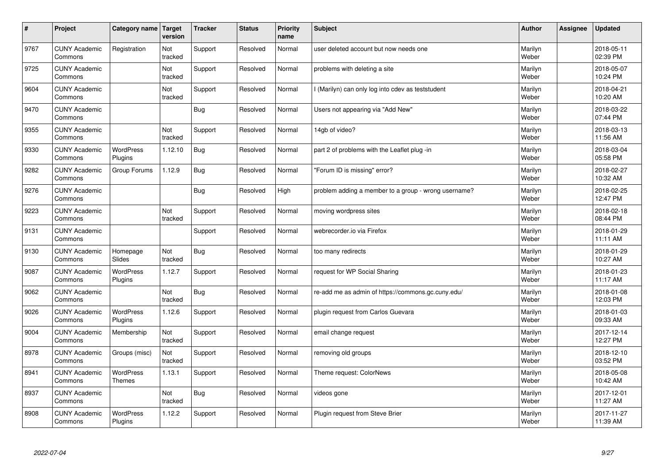| $\sharp$ | Project                         | Category name               | Target<br>version | <b>Tracker</b> | <b>Status</b> | <b>Priority</b><br>name | <b>Subject</b>                                       | <b>Author</b>    | Assignee | <b>Updated</b>         |
|----------|---------------------------------|-----------------------------|-------------------|----------------|---------------|-------------------------|------------------------------------------------------|------------------|----------|------------------------|
| 9767     | <b>CUNY Academic</b><br>Commons | Registration                | Not<br>tracked    | Support        | Resolved      | Normal                  | user deleted account but now needs one               | Marilyn<br>Weber |          | 2018-05-11<br>02:39 PM |
| 9725     | <b>CUNY Academic</b><br>Commons |                             | Not<br>tracked    | Support        | Resolved      | Normal                  | problems with deleting a site                        | Marilyn<br>Weber |          | 2018-05-07<br>10:24 PM |
| 9604     | <b>CUNY Academic</b><br>Commons |                             | Not<br>tracked    | Support        | Resolved      | Normal                  | I (Marilyn) can only log into cdev as teststudent    | Marilyn<br>Weber |          | 2018-04-21<br>10:20 AM |
| 9470     | <b>CUNY Academic</b><br>Commons |                             |                   | <b>Bug</b>     | Resolved      | Normal                  | Users not appearing via "Add New"                    | Marilyn<br>Weber |          | 2018-03-22<br>07:44 PM |
| 9355     | <b>CUNY Academic</b><br>Commons |                             | Not<br>tracked    | Support        | Resolved      | Normal                  | 14gb of video?                                       | Marilyn<br>Weber |          | 2018-03-13<br>11:56 AM |
| 9330     | <b>CUNY Academic</b><br>Commons | <b>WordPress</b><br>Plugins | 1.12.10           | <b>Bug</b>     | Resolved      | Normal                  | part 2 of problems with the Leaflet plug -in         | Marilyn<br>Weber |          | 2018-03-04<br>05:58 PM |
| 9282     | <b>CUNY Academic</b><br>Commons | Group Forums                | 1.12.9            | <b>Bug</b>     | Resolved      | Normal                  | "Forum ID is missing" error?                         | Marilyn<br>Weber |          | 2018-02-27<br>10:32 AM |
| 9276     | <b>CUNY Academic</b><br>Commons |                             |                   | Bug            | Resolved      | High                    | problem adding a member to a group - wrong username? | Marilyn<br>Weber |          | 2018-02-25<br>12:47 PM |
| 9223     | <b>CUNY Academic</b><br>Commons |                             | Not<br>tracked    | Support        | Resolved      | Normal                  | moving wordpress sites                               | Marilyn<br>Weber |          | 2018-02-18<br>08:44 PM |
| 9131     | <b>CUNY Academic</b><br>Commons |                             |                   | Support        | Resolved      | Normal                  | webrecorder.io via Firefox                           | Marilyn<br>Weber |          | 2018-01-29<br>11:11 AM |
| 9130     | <b>CUNY Academic</b><br>Commons | Homepage<br>Slides          | Not<br>tracked    | <b>Bug</b>     | Resolved      | Normal                  | too many redirects                                   | Marilyn<br>Weber |          | 2018-01-29<br>10:27 AM |
| 9087     | <b>CUNY Academic</b><br>Commons | <b>WordPress</b><br>Plugins | 1.12.7            | Support        | Resolved      | Normal                  | request for WP Social Sharing                        | Marilyn<br>Weber |          | 2018-01-23<br>11:17 AM |
| 9062     | <b>CUNY Academic</b><br>Commons |                             | Not<br>tracked    | Bug            | Resolved      | Normal                  | re-add me as admin of https://commons.gc.cuny.edu/   | Marilyn<br>Weber |          | 2018-01-08<br>12:03 PM |
| 9026     | <b>CUNY Academic</b><br>Commons | WordPress<br>Plugins        | 1.12.6            | Support        | Resolved      | Normal                  | plugin request from Carlos Guevara                   | Marilyn<br>Weber |          | 2018-01-03<br>09:33 AM |
| 9004     | <b>CUNY Academic</b><br>Commons | Membership                  | Not<br>tracked    | Support        | Resolved      | Normal                  | email change request                                 | Marilyn<br>Weber |          | 2017-12-14<br>12:27 PM |
| 8978     | <b>CUNY Academic</b><br>Commons | Groups (misc)               | Not<br>tracked    | Support        | Resolved      | Normal                  | removing old groups                                  | Marilyn<br>Weber |          | 2018-12-10<br>03:52 PM |
| 8941     | <b>CUNY Academic</b><br>Commons | WordPress<br>Themes         | 1.13.1            | Support        | Resolved      | Normal                  | Theme request: ColorNews                             | Marilyn<br>Weber |          | 2018-05-08<br>10:42 AM |
| 8937     | <b>CUNY Academic</b><br>Commons |                             | Not<br>tracked    | <b>Bug</b>     | Resolved      | Normal                  | videos gone                                          | Marilyn<br>Weber |          | 2017-12-01<br>11:27 AM |
| 8908     | <b>CUNY Academic</b><br>Commons | <b>WordPress</b><br>Plugins | 1.12.2            | Support        | Resolved      | Normal                  | Plugin reguest from Steve Brier                      | Marilyn<br>Weber |          | 2017-11-27<br>11:39 AM |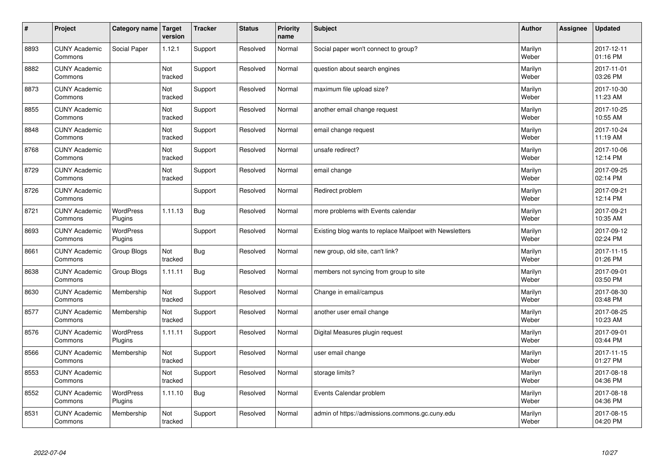| $\sharp$ | Project                         | Category name               | Target<br>version | <b>Tracker</b> | <b>Status</b> | <b>Priority</b><br>name | <b>Subject</b>                                           | <b>Author</b>    | <b>Assignee</b> | <b>Updated</b>         |
|----------|---------------------------------|-----------------------------|-------------------|----------------|---------------|-------------------------|----------------------------------------------------------|------------------|-----------------|------------------------|
| 8893     | <b>CUNY Academic</b><br>Commons | Social Paper                | 1.12.1            | Support        | Resolved      | Normal                  | Social paper won't connect to group?                     | Marilyn<br>Weber |                 | 2017-12-11<br>01:16 PM |
| 8882     | <b>CUNY Academic</b><br>Commons |                             | Not<br>tracked    | Support        | Resolved      | Normal                  | question about search engines                            | Marilyn<br>Weber |                 | 2017-11-01<br>03:26 PM |
| 8873     | <b>CUNY Academic</b><br>Commons |                             | Not<br>tracked    | Support        | Resolved      | Normal                  | maximum file upload size?                                | Marilyn<br>Weber |                 | 2017-10-30<br>11:23 AM |
| 8855     | <b>CUNY Academic</b><br>Commons |                             | Not<br>tracked    | Support        | Resolved      | Normal                  | another email change request                             | Marilyn<br>Weber |                 | 2017-10-25<br>10:55 AM |
| 8848     | <b>CUNY Academic</b><br>Commons |                             | Not<br>tracked    | Support        | Resolved      | Normal                  | email change request                                     | Marilyn<br>Weber |                 | 2017-10-24<br>11:19 AM |
| 8768     | <b>CUNY Academic</b><br>Commons |                             | Not<br>tracked    | Support        | Resolved      | Normal                  | unsafe redirect?                                         | Marilyn<br>Weber |                 | 2017-10-06<br>12:14 PM |
| 8729     | <b>CUNY Academic</b><br>Commons |                             | Not<br>tracked    | Support        | Resolved      | Normal                  | email change                                             | Marilyn<br>Weber |                 | 2017-09-25<br>02:14 PM |
| 8726     | <b>CUNY Academic</b><br>Commons |                             |                   | Support        | Resolved      | Normal                  | Redirect problem                                         | Marilyn<br>Weber |                 | 2017-09-21<br>12:14 PM |
| 8721     | <b>CUNY Academic</b><br>Commons | <b>WordPress</b><br>Plugins | 1.11.13           | Bug            | Resolved      | Normal                  | more problems with Events calendar                       | Marilyn<br>Weber |                 | 2017-09-21<br>10:35 AM |
| 8693     | <b>CUNY Academic</b><br>Commons | <b>WordPress</b><br>Plugins |                   | Support        | Resolved      | Normal                  | Existing blog wants to replace Mailpoet with Newsletters | Marilyn<br>Weber |                 | 2017-09-12<br>02:24 PM |
| 8661     | <b>CUNY Academic</b><br>Commons | Group Blogs                 | Not<br>tracked    | Bug            | Resolved      | Normal                  | new group, old site, can't link?                         | Marilyn<br>Weber |                 | 2017-11-15<br>01:26 PM |
| 8638     | <b>CUNY Academic</b><br>Commons | Group Blogs                 | 1.11.11           | Bug            | Resolved      | Normal                  | members not syncing from group to site                   | Marilyn<br>Weber |                 | 2017-09-01<br>03:50 PM |
| 8630     | <b>CUNY Academic</b><br>Commons | Membership                  | Not<br>tracked    | Support        | Resolved      | Normal                  | Change in email/campus                                   | Marilyn<br>Weber |                 | 2017-08-30<br>03:48 PM |
| 8577     | <b>CUNY Academic</b><br>Commons | Membership                  | Not<br>tracked    | Support        | Resolved      | Normal                  | another user email change                                | Marilyn<br>Weber |                 | 2017-08-25<br>10:23 AM |
| 8576     | <b>CUNY Academic</b><br>Commons | WordPress<br>Plugins        | 1.11.11           | Support        | Resolved      | Normal                  | Digital Measures plugin request                          | Marilyn<br>Weber |                 | 2017-09-01<br>03:44 PM |
| 8566     | <b>CUNY Academic</b><br>Commons | Membership                  | Not<br>tracked    | Support        | Resolved      | Normal                  | user email change                                        | Marilyn<br>Weber |                 | 2017-11-15<br>01:27 PM |
| 8553     | <b>CUNY Academic</b><br>Commons |                             | Not<br>tracked    | Support        | Resolved      | Normal                  | storage limits?                                          | Marilyn<br>Weber |                 | 2017-08-18<br>04:36 PM |
| 8552     | <b>CUNY Academic</b><br>Commons | <b>WordPress</b><br>Plugins | 1.11.10           | <b>Bug</b>     | Resolved      | Normal                  | Events Calendar problem                                  | Marilyn<br>Weber |                 | 2017-08-18<br>04:36 PM |
| 8531     | <b>CUNY Academic</b><br>Commons | Membership                  | Not<br>tracked    | Support        | Resolved      | Normal                  | admin of https://admissions.commons.gc.cuny.edu          | Marilyn<br>Weber |                 | 2017-08-15<br>04:20 PM |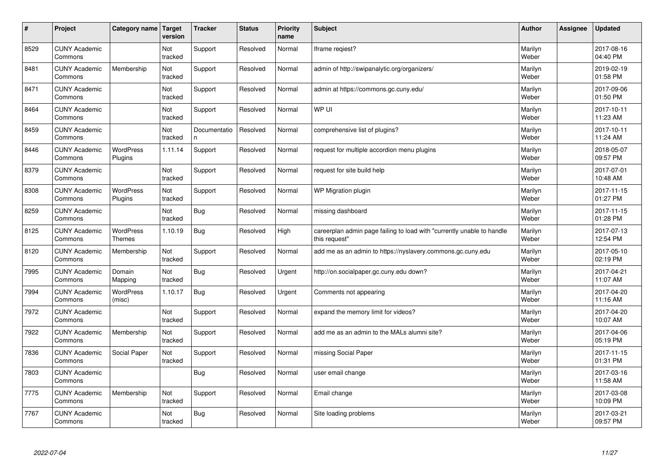| $\vert$ # | Project                         | Category name               | Target<br>version | <b>Tracker</b>     | <b>Status</b> | <b>Priority</b><br>name | <b>Subject</b>                                                                          | <b>Author</b>    | Assignee | <b>Updated</b>         |
|-----------|---------------------------------|-----------------------------|-------------------|--------------------|---------------|-------------------------|-----------------------------------------------------------------------------------------|------------------|----------|------------------------|
| 8529      | <b>CUNY Academic</b><br>Commons |                             | Not<br>tracked    | Support            | Resolved      | Normal                  | Iframe regiest?                                                                         | Marilyn<br>Weber |          | 2017-08-16<br>04:40 PM |
| 8481      | <b>CUNY Academic</b><br>Commons | Membership                  | Not<br>tracked    | Support            | Resolved      | Normal                  | admin of http://swipanalytic.org/organizers/                                            | Marilyn<br>Weber |          | 2019-02-19<br>01:58 PM |
| 8471      | <b>CUNY Academic</b><br>Commons |                             | Not<br>tracked    | Support            | Resolved      | Normal                  | admin at https://commons.gc.cuny.edu/                                                   | Marilyn<br>Weber |          | 2017-09-06<br>01:50 PM |
| 8464      | <b>CUNY Academic</b><br>Commons |                             | Not<br>tracked    | Support            | Resolved      | Normal                  | WP UI                                                                                   | Marilyn<br>Weber |          | 2017-10-11<br>11:23 AM |
| 8459      | <b>CUNY Academic</b><br>Commons |                             | Not<br>tracked    | Documentatio<br>n. | Resolved      | Normal                  | comprehensive list of plugins?                                                          | Marilyn<br>Weber |          | 2017-10-11<br>11:24 AM |
| 8446      | <b>CUNY Academic</b><br>Commons | <b>WordPress</b><br>Plugins | 1.11.14           | Support            | Resolved      | Normal                  | request for multiple accordion menu plugins                                             | Marilyn<br>Weber |          | 2018-05-07<br>09:57 PM |
| 8379      | <b>CUNY Academic</b><br>Commons |                             | Not<br>tracked    | Support            | Resolved      | Normal                  | request for site build help                                                             | Marilyn<br>Weber |          | 2017-07-01<br>10:48 AM |
| 8308      | <b>CUNY Academic</b><br>Commons | <b>WordPress</b><br>Plugins | Not<br>tracked    | Support            | Resolved      | Normal                  | <b>WP Migration plugin</b>                                                              | Marilyn<br>Weber |          | 2017-11-15<br>01:27 PM |
| 8259      | <b>CUNY Academic</b><br>Commons |                             | Not<br>tracked    | Bug                | Resolved      | Normal                  | missing dashboard                                                                       | Marilyn<br>Weber |          | 2017-11-15<br>01:28 PM |
| 8125      | <b>CUNY Academic</b><br>Commons | WordPress<br><b>Themes</b>  | 1.10.19           | <b>Bug</b>         | Resolved      | High                    | careerplan admin page failing to load with "currently unable to handle<br>this request" | Marilyn<br>Weber |          | 2017-07-13<br>12:54 PM |
| 8120      | <b>CUNY Academic</b><br>Commons | Membership                  | Not<br>tracked    | Support            | Resolved      | Normal                  | add me as an admin to https://nyslavery.commons.gc.cuny.edu                             | Marilyn<br>Weber |          | 2017-05-10<br>02:19 PM |
| 7995      | <b>CUNY Academic</b><br>Commons | Domain<br>Mapping           | Not<br>tracked    | Bug                | Resolved      | Urgent                  | http://on.socialpaper.gc.cuny.edu down?                                                 | Marilyn<br>Weber |          | 2017-04-21<br>11:07 AM |
| 7994      | <b>CUNY Academic</b><br>Commons | <b>WordPress</b><br>(misc)  | 1.10.17           | Bug                | Resolved      | Urgent                  | Comments not appearing                                                                  | Marilyn<br>Weber |          | 2017-04-20<br>11:16 AM |
| 7972      | <b>CUNY Academic</b><br>Commons |                             | Not<br>tracked    | Support            | Resolved      | Normal                  | expand the memory limit for videos?                                                     | Marilyn<br>Weber |          | 2017-04-20<br>10:07 AM |
| 7922      | <b>CUNY Academic</b><br>Commons | Membership                  | Not<br>tracked    | Support            | Resolved      | Normal                  | add me as an admin to the MALs alumni site?                                             | Marilyn<br>Weber |          | 2017-04-06<br>05:19 PM |
| 7836      | <b>CUNY Academic</b><br>Commons | Social Paper                | Not<br>tracked    | Support            | Resolved      | Normal                  | missing Social Paper                                                                    | Marilyn<br>Weber |          | 2017-11-15<br>01:31 PM |
| 7803      | <b>CUNY Academic</b><br>Commons |                             |                   | Bug                | Resolved      | Normal                  | user email change                                                                       | Marilyn<br>Weber |          | 2017-03-16<br>11:58 AM |
| 7775      | <b>CUNY Academic</b><br>Commons | Membership                  | Not<br>tracked    | Support            | Resolved      | Normal                  | Email change                                                                            | Marilyn<br>Weber |          | 2017-03-08<br>10:09 PM |
| 7767      | <b>CUNY Academic</b><br>Commons |                             | Not<br>tracked    | Bug                | Resolved      | Normal                  | Site loading problems                                                                   | Marilyn<br>Weber |          | 2017-03-21<br>09:57 PM |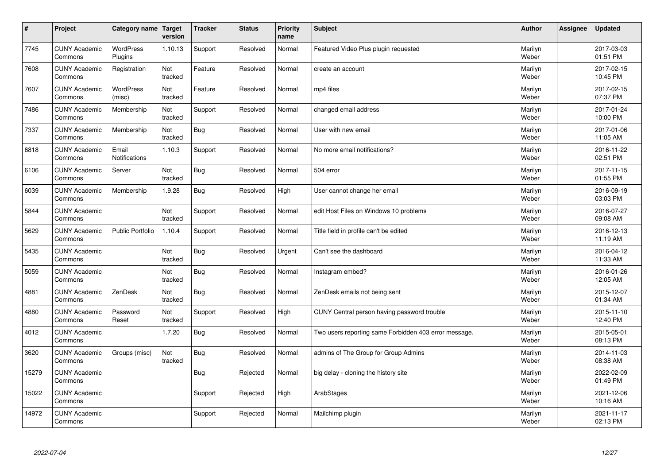| $\vert$ # | Project                         | Category name Target          | version        | <b>Tracker</b> | <b>Status</b> | <b>Priority</b><br>name | <b>Subject</b>                                        | <b>Author</b>    | <b>Assignee</b> | <b>Updated</b>         |
|-----------|---------------------------------|-------------------------------|----------------|----------------|---------------|-------------------------|-------------------------------------------------------|------------------|-----------------|------------------------|
| 7745      | <b>CUNY Academic</b><br>Commons | <b>WordPress</b><br>Plugins   | 1.10.13        | Support        | Resolved      | Normal                  | Featured Video Plus plugin requested                  | Marilyn<br>Weber |                 | 2017-03-03<br>01:51 PM |
| 7608      | <b>CUNY Academic</b><br>Commons | Registration                  | Not<br>tracked | Feature        | Resolved      | Normal                  | create an account                                     | Marilyn<br>Weber |                 | 2017-02-15<br>10:45 PM |
| 7607      | <b>CUNY Academic</b><br>Commons | WordPress<br>(misc)           | Not<br>tracked | Feature        | Resolved      | Normal                  | mp4 files                                             | Marilyn<br>Weber |                 | 2017-02-15<br>07:37 PM |
| 7486      | <b>CUNY Academic</b><br>Commons | Membership                    | Not<br>tracked | Support        | Resolved      | Normal                  | changed email address                                 | Marilyn<br>Weber |                 | 2017-01-24<br>10:00 PM |
| 7337      | <b>CUNY Academic</b><br>Commons | Membership                    | Not<br>tracked | <b>Bug</b>     | Resolved      | Normal                  | User with new email                                   | Marilyn<br>Weber |                 | 2017-01-06<br>11:05 AM |
| 6818      | <b>CUNY Academic</b><br>Commons | Email<br><b>Notifications</b> | 1.10.3         | Support        | Resolved      | Normal                  | No more email notifications?                          | Marilyn<br>Weber |                 | 2016-11-22<br>02:51 PM |
| 6106      | <b>CUNY Academic</b><br>Commons | Server                        | Not<br>tracked | <b>Bug</b>     | Resolved      | Normal                  | 504 error                                             | Marilyn<br>Weber |                 | 2017-11-15<br>01:55 PM |
| 6039      | <b>CUNY Academic</b><br>Commons | Membership                    | 1.9.28         | <b>Bug</b>     | Resolved      | High                    | User cannot change her email                          | Marilyn<br>Weber |                 | 2016-09-19<br>03:03 PM |
| 5844      | <b>CUNY Academic</b><br>Commons |                               | Not<br>tracked | Support        | Resolved      | Normal                  | edit Host Files on Windows 10 problems                | Marilyn<br>Weber |                 | 2016-07-27<br>09:08 AM |
| 5629      | <b>CUNY Academic</b><br>Commons | <b>Public Portfolio</b>       | 1.10.4         | Support        | Resolved      | Normal                  | Title field in profile can't be edited                | Marilyn<br>Weber |                 | 2016-12-13<br>11:19 AM |
| 5435      | <b>CUNY Academic</b><br>Commons |                               | Not<br>tracked | Bug            | Resolved      | Urgent                  | Can't see the dashboard                               | Marilyn<br>Weber |                 | 2016-04-12<br>11:33 AM |
| 5059      | <b>CUNY Academic</b><br>Commons |                               | Not<br>tracked | <b>Bug</b>     | Resolved      | Normal                  | Instagram embed?                                      | Marilyn<br>Weber |                 | 2016-01-26<br>12:05 AM |
| 4881      | <b>CUNY Academic</b><br>Commons | ZenDesk                       | Not<br>tracked | <b>Bug</b>     | Resolved      | Normal                  | ZenDesk emails not being sent                         | Marilyn<br>Weber |                 | 2015-12-07<br>01:34 AM |
| 4880      | <b>CUNY Academic</b><br>Commons | Password<br>Reset             | Not<br>tracked | Support        | Resolved      | High                    | CUNY Central person having password trouble           | Marilyn<br>Weber |                 | 2015-11-10<br>12:40 PM |
| 4012      | <b>CUNY Academic</b><br>Commons |                               | 1.7.20         | <b>Bug</b>     | Resolved      | Normal                  | Two users reporting same Forbidden 403 error message. | Marilyn<br>Weber |                 | 2015-05-01<br>08:13 PM |
| 3620      | <b>CUNY Academic</b><br>Commons | Groups (misc)                 | Not<br>tracked | <b>Bug</b>     | Resolved      | Normal                  | admins of The Group for Group Admins                  | Marilyn<br>Weber |                 | 2014-11-03<br>08:38 AM |
| 15279     | <b>CUNY Academic</b><br>Commons |                               |                | <b>Bug</b>     | Rejected      | Normal                  | big delay - cloning the history site                  | Marilyn<br>Weber |                 | 2022-02-09<br>01:49 PM |
| 15022     | <b>CUNY Academic</b><br>Commons |                               |                | Support        | Rejected      | High                    | ArabStages                                            | Marilyn<br>Weber |                 | 2021-12-06<br>10:16 AM |
| 14972     | <b>CUNY Academic</b><br>Commons |                               |                | Support        | Rejected      | Normal                  | Mailchimp plugin                                      | Marilyn<br>Weber |                 | 2021-11-17<br>02:13 PM |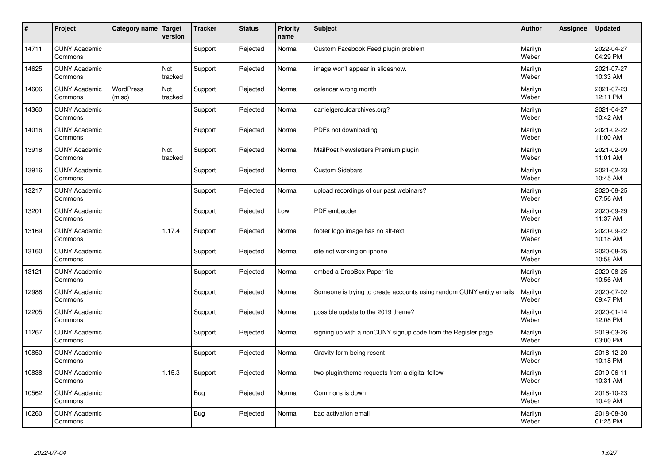| $\vert$ # | Project                         | Category name Target       | version        | <b>Tracker</b> | <b>Status</b> | <b>Priority</b><br>name | <b>Subject</b>                                                       | <b>Author</b>    | <b>Assignee</b> | <b>Updated</b>         |
|-----------|---------------------------------|----------------------------|----------------|----------------|---------------|-------------------------|----------------------------------------------------------------------|------------------|-----------------|------------------------|
| 14711     | <b>CUNY Academic</b><br>Commons |                            |                | Support        | Rejected      | Normal                  | Custom Facebook Feed plugin problem                                  | Marilyn<br>Weber |                 | 2022-04-27<br>04:29 PM |
| 14625     | <b>CUNY Academic</b><br>Commons |                            | Not<br>tracked | Support        | Rejected      | Normal                  | image won't appear in slideshow.                                     | Marilyn<br>Weber |                 | 2021-07-27<br>10:33 AM |
| 14606     | <b>CUNY Academic</b><br>Commons | <b>WordPress</b><br>(misc) | Not<br>tracked | Support        | Rejected      | Normal                  | calendar wrong month                                                 | Marilyn<br>Weber |                 | 2021-07-23<br>12:11 PM |
| 14360     | <b>CUNY Academic</b><br>Commons |                            |                | Support        | Rejected      | Normal                  | danielgerouldarchives.org?                                           | Marilyn<br>Weber |                 | 2021-04-27<br>10:42 AM |
| 14016     | <b>CUNY Academic</b><br>Commons |                            |                | Support        | Rejected      | Normal                  | PDFs not downloading                                                 | Marilyn<br>Weber |                 | 2021-02-22<br>11:00 AM |
| 13918     | <b>CUNY Academic</b><br>Commons |                            | Not<br>tracked | Support        | Rejected      | Normal                  | MailPoet Newsletters Premium plugin                                  | Marilyn<br>Weber |                 | 2021-02-09<br>11:01 AM |
| 13916     | <b>CUNY Academic</b><br>Commons |                            |                | Support        | Rejected      | Normal                  | <b>Custom Sidebars</b>                                               | Marilyn<br>Weber |                 | 2021-02-23<br>10:45 AM |
| 13217     | <b>CUNY Academic</b><br>Commons |                            |                | Support        | Rejected      | Normal                  | upload recordings of our past webinars?                              | Marilyn<br>Weber |                 | 2020-08-25<br>07:56 AM |
| 13201     | <b>CUNY Academic</b><br>Commons |                            |                | Support        | Rejected      | Low                     | PDF embedder                                                         | Marilyn<br>Weber |                 | 2020-09-29<br>11:37 AM |
| 13169     | <b>CUNY Academic</b><br>Commons |                            | 1.17.4         | Support        | Rejected      | Normal                  | footer logo image has no alt-text                                    | Marilyn<br>Weber |                 | 2020-09-22<br>10:18 AM |
| 13160     | <b>CUNY Academic</b><br>Commons |                            |                | Support        | Rejected      | Normal                  | site not working on iphone                                           | Marilyn<br>Weber |                 | 2020-08-25<br>10:58 AM |
| 13121     | <b>CUNY Academic</b><br>Commons |                            |                | Support        | Rejected      | Normal                  | embed a DropBox Paper file                                           | Marilyn<br>Weber |                 | 2020-08-25<br>10:56 AM |
| 12986     | <b>CUNY Academic</b><br>Commons |                            |                | Support        | Rejected      | Normal                  | Someone is trying to create accounts using random CUNY entity emails | Marilyn<br>Weber |                 | 2020-07-02<br>09:47 PM |
| 12205     | <b>CUNY Academic</b><br>Commons |                            |                | Support        | Rejected      | Normal                  | possible update to the 2019 theme?                                   | Marilyn<br>Weber |                 | 2020-01-14<br>12:08 PM |
| 11267     | <b>CUNY Academic</b><br>Commons |                            |                | Support        | Rejected      | Normal                  | signing up with a nonCUNY signup code from the Register page         | Marilyn<br>Weber |                 | 2019-03-26<br>03:00 PM |
| 10850     | <b>CUNY Academic</b><br>Commons |                            |                | Support        | Rejected      | Normal                  | Gravity form being resent                                            | Marilyn<br>Weber |                 | 2018-12-20<br>10:18 PM |
| 10838     | <b>CUNY Academic</b><br>Commons |                            | 1.15.3         | Support        | Rejected      | Normal                  | two plugin/theme requests from a digital fellow                      | Marilyn<br>Weber |                 | 2019-06-11<br>10:31 AM |
| 10562     | <b>CUNY Academic</b><br>Commons |                            |                | Bug            | Rejected      | Normal                  | Commons is down                                                      | Marilyn<br>Weber |                 | 2018-10-23<br>10:49 AM |
| 10260     | <b>CUNY Academic</b><br>Commons |                            |                | Bug            | Rejected      | Normal                  | bad activation email                                                 | Marilyn<br>Weber |                 | 2018-08-30<br>01:25 PM |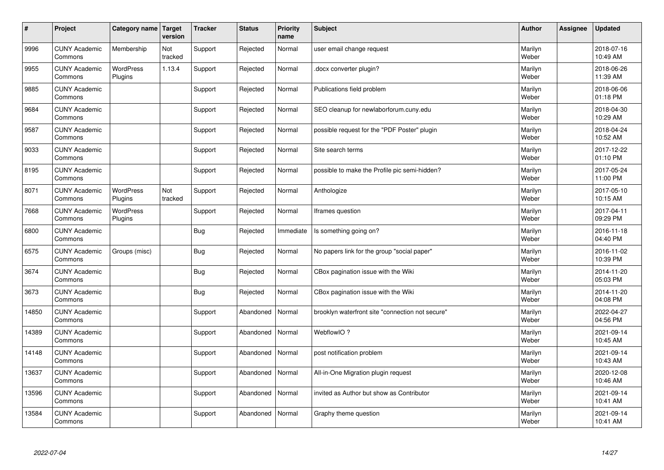| $\sharp$ | Project                         | Category name   Target      | version        | <b>Tracker</b> | <b>Status</b> | <b>Priority</b><br>name | <b>Subject</b>                                   | <b>Author</b>    | Assignee | <b>Updated</b>         |
|----------|---------------------------------|-----------------------------|----------------|----------------|---------------|-------------------------|--------------------------------------------------|------------------|----------|------------------------|
| 9996     | <b>CUNY Academic</b><br>Commons | Membership                  | Not<br>tracked | Support        | Rejected      | Normal                  | user email change request                        | Marilyn<br>Weber |          | 2018-07-16<br>10:49 AM |
| 9955     | <b>CUNY Academic</b><br>Commons | <b>WordPress</b><br>Plugins | 1.13.4         | Support        | Rejected      | Normal                  | docx converter plugin?                           | Marilyn<br>Weber |          | 2018-06-26<br>11:39 AM |
| 9885     | <b>CUNY Academic</b><br>Commons |                             |                | Support        | Rejected      | Normal                  | Publications field problem                       | Marilyn<br>Weber |          | 2018-06-06<br>01:18 PM |
| 9684     | <b>CUNY Academic</b><br>Commons |                             |                | Support        | Rejected      | Normal                  | SEO cleanup for newlaborforum.cuny.edu           | Marilyn<br>Weber |          | 2018-04-30<br>10:29 AM |
| 9587     | <b>CUNY Academic</b><br>Commons |                             |                | Support        | Rejected      | Normal                  | possible request for the "PDF Poster" plugin     | Marilyn<br>Weber |          | 2018-04-24<br>10:52 AM |
| 9033     | <b>CUNY Academic</b><br>Commons |                             |                | Support        | Rejected      | Normal                  | Site search terms                                | Marilyn<br>Weber |          | 2017-12-22<br>01:10 PM |
| 8195     | <b>CUNY Academic</b><br>Commons |                             |                | Support        | Rejected      | Normal                  | possible to make the Profile pic semi-hidden?    | Marilyn<br>Weber |          | 2017-05-24<br>11:00 PM |
| 8071     | <b>CUNY Academic</b><br>Commons | <b>WordPress</b><br>Plugins | Not<br>tracked | Support        | Rejected      | Normal                  | Anthologize                                      | Marilyn<br>Weber |          | 2017-05-10<br>10:15 AM |
| 7668     | <b>CUNY Academic</b><br>Commons | WordPress<br>Plugins        |                | Support        | Rejected      | Normal                  | Iframes question                                 | Marilyn<br>Weber |          | 2017-04-11<br>09:29 PM |
| 6800     | <b>CUNY Academic</b><br>Commons |                             |                | Bug            | Rejected      | Immediate               | Is something going on?                           | Marilyn<br>Weber |          | 2016-11-18<br>04:40 PM |
| 6575     | <b>CUNY Academic</b><br>Commons | Groups (misc)               |                | Bug            | Rejected      | Normal                  | No papers link for the group "social paper"      | Marilyn<br>Weber |          | 2016-11-02<br>10:39 PM |
| 3674     | <b>CUNY Academic</b><br>Commons |                             |                | <b>Bug</b>     | Rejected      | Normal                  | CBox pagination issue with the Wiki              | Marilyn<br>Weber |          | 2014-11-20<br>05:03 PM |
| 3673     | <b>CUNY Academic</b><br>Commons |                             |                | Bug            | Rejected      | Normal                  | CBox pagination issue with the Wiki              | Marilyn<br>Weber |          | 2014-11-20<br>04:08 PM |
| 14850    | <b>CUNY Academic</b><br>Commons |                             |                | Support        | Abandoned     | Normal                  | brooklyn waterfront site "connection not secure" | Marilyn<br>Weber |          | 2022-04-27<br>04:56 PM |
| 14389    | <b>CUNY Academic</b><br>Commons |                             |                | Support        | Abandoned     | Normal                  | WebflowIO?                                       | Marilyn<br>Weber |          | 2021-09-14<br>10:45 AM |
| 14148    | <b>CUNY Academic</b><br>Commons |                             |                | Support        | Abandoned     | Normal                  | post notification problem                        | Marilyn<br>Weber |          | 2021-09-14<br>10:43 AM |
| 13637    | <b>CUNY Academic</b><br>Commons |                             |                | Support        | Abandoned     | Normal                  | All-in-One Migration plugin request              | Marilyn<br>Weber |          | 2020-12-08<br>10:46 AM |
| 13596    | <b>CUNY Academic</b><br>Commons |                             |                | Support        | Abandoned     | Normal                  | invited as Author but show as Contributor        | Marilyn<br>Weber |          | 2021-09-14<br>10:41 AM |
| 13584    | <b>CUNY Academic</b><br>Commons |                             |                | Support        | Abandoned     | Normal                  | Graphy theme question                            | Marilyn<br>Weber |          | 2021-09-14<br>10:41 AM |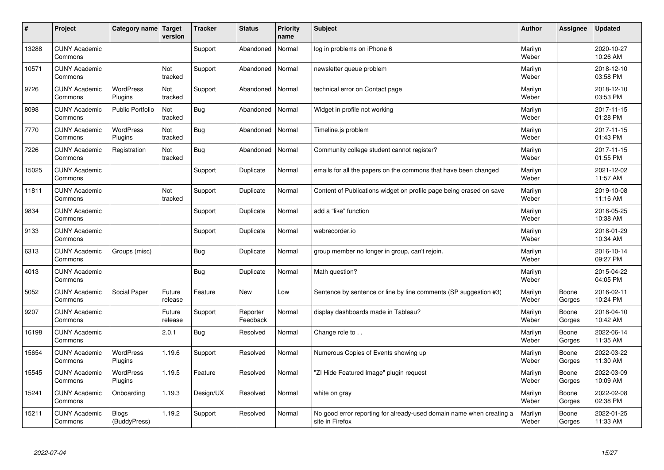| #     | Project                         | Category name   Target       | version           | <b>Tracker</b> | <b>Status</b>        | <b>Priority</b><br>name | <b>Subject</b>                                                                          | <b>Author</b>    | Assignee        | <b>Updated</b>         |
|-------|---------------------------------|------------------------------|-------------------|----------------|----------------------|-------------------------|-----------------------------------------------------------------------------------------|------------------|-----------------|------------------------|
| 13288 | <b>CUNY Academic</b><br>Commons |                              |                   | Support        | Abandoned            | Normal                  | log in problems on iPhone 6                                                             | Marilyn<br>Weber |                 | 2020-10-27<br>10:26 AM |
| 10571 | <b>CUNY Academic</b><br>Commons |                              | Not<br>tracked    | Support        | Abandoned            | Normal                  | newsletter queue problem                                                                | Marilyn<br>Weber |                 | 2018-12-10<br>03:58 PM |
| 9726  | <b>CUNY Academic</b><br>Commons | <b>WordPress</b><br>Plugins  | Not<br>tracked    | Support        | Abandoned            | Normal                  | technical error on Contact page                                                         | Marilyn<br>Weber |                 | 2018-12-10<br>03:53 PM |
| 8098  | <b>CUNY Academic</b><br>Commons | Public Portfolio             | Not<br>tracked    | Bug            | Abandoned            | Normal                  | Widget in profile not working                                                           | Marilyn<br>Weber |                 | 2017-11-15<br>01:28 PM |
| 7770  | <b>CUNY Academic</b><br>Commons | <b>WordPress</b><br>Plugins  | Not<br>tracked    | Bug            | Abandoned            | Normal                  | Timeline.js problem                                                                     | Marilyn<br>Weber |                 | 2017-11-15<br>01:43 PM |
| 7226  | <b>CUNY Academic</b><br>Commons | Registration                 | Not<br>tracked    | Bug            | Abandoned            | Normal                  | Community college student cannot register?                                              | Marilyn<br>Weber |                 | 2017-11-15<br>01:55 PM |
| 15025 | <b>CUNY Academic</b><br>Commons |                              |                   | Support        | Duplicate            | Normal                  | emails for all the papers on the commons that have been changed                         | Marilyn<br>Weber |                 | 2021-12-02<br>11:57 AM |
| 11811 | <b>CUNY Academic</b><br>Commons |                              | Not<br>tracked    | Support        | Duplicate            | Normal                  | Content of Publications widget on profile page being erased on save                     | Marilyn<br>Weber |                 | 2019-10-08<br>11:16 AM |
| 9834  | <b>CUNY Academic</b><br>Commons |                              |                   | Support        | Duplicate            | Normal                  | add a "like" function                                                                   | Marilyn<br>Weber |                 | 2018-05-25<br>10:38 AM |
| 9133  | <b>CUNY Academic</b><br>Commons |                              |                   | Support        | Duplicate            | Normal                  | webrecorder.io                                                                          | Marilyn<br>Weber |                 | 2018-01-29<br>10:34 AM |
| 6313  | <b>CUNY Academic</b><br>Commons | Groups (misc)                |                   | <b>Bug</b>     | Duplicate            | Normal                  | group member no longer in group, can't rejoin.                                          | Marilyn<br>Weber |                 | 2016-10-14<br>09:27 PM |
| 4013  | <b>CUNY Academic</b><br>Commons |                              |                   | Bug            | Duplicate            | Normal                  | Math question?                                                                          | Marilyn<br>Weber |                 | 2015-04-22<br>04:05 PM |
| 5052  | <b>CUNY Academic</b><br>Commons | Social Paper                 | Future<br>release | Feature        | New                  | Low                     | Sentence by sentence or line by line comments (SP suggestion #3)                        | Marilyn<br>Weber | Boone<br>Gorges | 2016-02-11<br>10:24 PM |
| 9207  | <b>CUNY Academic</b><br>Commons |                              | Future<br>release | Support        | Reporter<br>Feedback | Normal                  | display dashboards made in Tableau?                                                     | Marilyn<br>Weber | Boone<br>Gorges | 2018-04-10<br>10:42 AM |
| 16198 | <b>CUNY Academic</b><br>Commons |                              | 2.0.1             | Bug            | Resolved             | Normal                  | Change role to                                                                          | Marilyn<br>Weber | Boone<br>Gorges | 2022-06-14<br>11:35 AM |
| 15654 | <b>CUNY Academic</b><br>Commons | WordPress<br>Plugins         | 1.19.6            | Support        | Resolved             | Normal                  | Numerous Copies of Events showing up                                                    | Marilyn<br>Weber | Boone<br>Gorges | 2022-03-22<br>11:30 AM |
| 15545 | <b>CUNY Academic</b><br>Commons | <b>WordPress</b><br>Plugins  | 1.19.5            | Feature        | Resolved             | Normal                  | "ZI Hide Featured Image" plugin request                                                 | Marilyn<br>Weber | Boone<br>Gorges | 2022-03-09<br>10:09 AM |
| 15241 | <b>CUNY Academic</b><br>Commons | Onboarding                   | 1.19.3            | Design/UX      | Resolved             | Normal                  | white on gray                                                                           | Marilyn<br>Weber | Boone<br>Gorges | 2022-02-08<br>02:38 PM |
| 15211 | <b>CUNY Academic</b><br>Commons | <b>Blogs</b><br>(BuddyPress) | 1.19.2            | Support        | Resolved             | Normal                  | No good error reporting for already-used domain name when creating a<br>site in Firefox | Marilyn<br>Weber | Boone<br>Gorges | 2022-01-25<br>11:33 AM |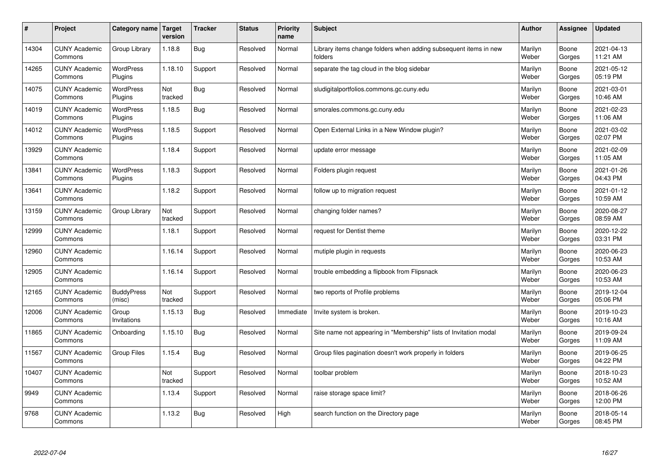| $\sharp$ | Project                         | Category name               | Target<br>version | <b>Tracker</b> | <b>Status</b> | <b>Priority</b><br>name | <b>Subject</b>                                                              | <b>Author</b>    | Assignee        | <b>Updated</b>         |
|----------|---------------------------------|-----------------------------|-------------------|----------------|---------------|-------------------------|-----------------------------------------------------------------------------|------------------|-----------------|------------------------|
| 14304    | <b>CUNY Academic</b><br>Commons | Group Library               | 1.18.8            | Bug            | Resolved      | Normal                  | Library items change folders when adding subsequent items in new<br>folders | Marilyn<br>Weber | Boone<br>Gorges | 2021-04-13<br>11:21 AM |
| 14265    | <b>CUNY Academic</b><br>Commons | <b>WordPress</b><br>Plugins | 1.18.10           | Support        | Resolved      | Normal                  | separate the tag cloud in the blog sidebar                                  | Marilyn<br>Weber | Boone<br>Gorges | 2021-05-12<br>05:19 PM |
| 14075    | <b>CUNY Academic</b><br>Commons | <b>WordPress</b><br>Plugins | Not<br>tracked    | Bug            | Resolved      | Normal                  | sludigitalportfolios.commons.gc.cuny.edu                                    | Marilyn<br>Weber | Boone<br>Gorges | 2021-03-01<br>10:46 AM |
| 14019    | <b>CUNY Academic</b><br>Commons | <b>WordPress</b><br>Plugins | 1.18.5            | Bug            | Resolved      | Normal                  | smorales.commons.gc.cuny.edu                                                | Marilyn<br>Weber | Boone<br>Gorges | 2021-02-23<br>11:06 AM |
| 14012    | <b>CUNY Academic</b><br>Commons | <b>WordPress</b><br>Plugins | 1.18.5            | Support        | Resolved      | Normal                  | Open External Links in a New Window plugin?                                 | Marilyn<br>Weber | Boone<br>Gorges | 2021-03-02<br>02:07 PM |
| 13929    | <b>CUNY Academic</b><br>Commons |                             | 1.18.4            | Support        | Resolved      | Normal                  | update error message                                                        | Marilyn<br>Weber | Boone<br>Gorges | 2021-02-09<br>11:05 AM |
| 13841    | <b>CUNY Academic</b><br>Commons | <b>WordPress</b><br>Plugins | 1.18.3            | Support        | Resolved      | Normal                  | Folders plugin request                                                      | Marilyn<br>Weber | Boone<br>Gorges | 2021-01-26<br>04:43 PM |
| 13641    | <b>CUNY Academic</b><br>Commons |                             | 1.18.2            | Support        | Resolved      | Normal                  | follow up to migration request                                              | Marilyn<br>Weber | Boone<br>Gorges | 2021-01-12<br>10:59 AM |
| 13159    | <b>CUNY Academic</b><br>Commons | Group Library               | Not<br>tracked    | Support        | Resolved      | Normal                  | changing folder names?                                                      | Marilyn<br>Weber | Boone<br>Gorges | 2020-08-27<br>08:59 AM |
| 12999    | <b>CUNY Academic</b><br>Commons |                             | 1.18.1            | Support        | Resolved      | Normal                  | request for Dentist theme                                                   | Marilyn<br>Weber | Boone<br>Gorges | 2020-12-22<br>03:31 PM |
| 12960    | <b>CUNY Academic</b><br>Commons |                             | 1.16.14           | Support        | Resolved      | Normal                  | mutiple plugin in requests                                                  | Marilyn<br>Weber | Boone<br>Gorges | 2020-06-23<br>10:53 AM |
| 12905    | <b>CUNY Academic</b><br>Commons |                             | 1.16.14           | Support        | Resolved      | Normal                  | trouble embedding a flipbook from Flipsnack                                 | Marilyn<br>Weber | Boone<br>Gorges | 2020-06-23<br>10:53 AM |
| 12165    | <b>CUNY Academic</b><br>Commons | <b>BuddyPress</b><br>(misc) | Not<br>tracked    | Support        | Resolved      | Normal                  | two reports of Profile problems                                             | Marilyn<br>Weber | Boone<br>Gorges | 2019-12-04<br>05:06 PM |
| 12006    | <b>CUNY Academic</b><br>Commons | Group<br>Invitations        | 1.15.13           | Bug            | Resolved      | Immediate               | Invite system is broken.                                                    | Marilyn<br>Weber | Boone<br>Gorges | 2019-10-23<br>10:16 AM |
| 11865    | <b>CUNY Academic</b><br>Commons | Onboarding                  | 1.15.10           | Bug            | Resolved      | Normal                  | Site name not appearing in "Membership" lists of Invitation modal           | Marilyn<br>Weber | Boone<br>Gorges | 2019-09-24<br>11:09 AM |
| 11567    | <b>CUNY Academic</b><br>Commons | Group Files                 | 1.15.4            | Bug            | Resolved      | Normal                  | Group files pagination doesn't work properly in folders                     | Marilyn<br>Weber | Boone<br>Gorges | 2019-06-25<br>04:22 PM |
| 10407    | <b>CUNY Academic</b><br>Commons |                             | Not<br>tracked    | Support        | Resolved      | Normal                  | toolbar problem                                                             | Marilyn<br>Weber | Boone<br>Gorges | 2018-10-23<br>10:52 AM |
| 9949     | <b>CUNY Academic</b><br>Commons |                             | 1.13.4            | Support        | Resolved      | Normal                  | raise storage space limit?                                                  | Marilyn<br>Weber | Boone<br>Gorges | 2018-06-26<br>12:00 PM |
| 9768     | <b>CUNY Academic</b><br>Commons |                             | 1.13.2            | Bug            | Resolved      | High                    | search function on the Directory page                                       | Marilyn<br>Weber | Boone<br>Gorges | 2018-05-14<br>08:45 PM |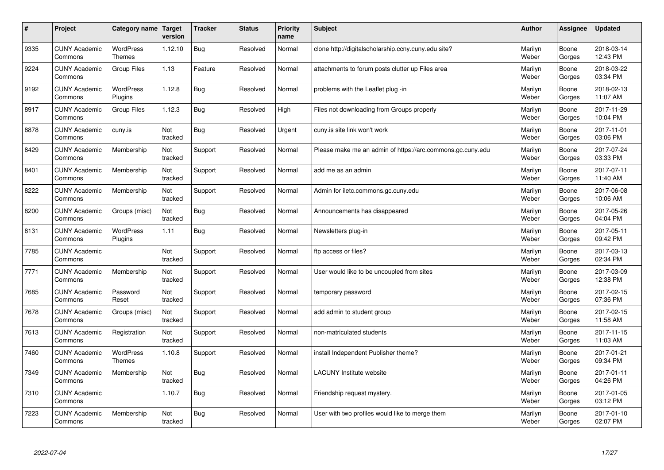| $\sharp$ | Project                         | Category name   Target            | version        | <b>Tracker</b> | <b>Status</b> | <b>Priority</b><br>name | <b>Subject</b>                                             | <b>Author</b>    | Assignee        | <b>Updated</b>         |
|----------|---------------------------------|-----------------------------------|----------------|----------------|---------------|-------------------------|------------------------------------------------------------|------------------|-----------------|------------------------|
| 9335     | <b>CUNY Academic</b><br>Commons | <b>WordPress</b><br>Themes        | 1.12.10        | <b>Bug</b>     | Resolved      | Normal                  | clone http://digitalscholarship.ccny.cuny.edu site?        | Marilyn<br>Weber | Boone<br>Gorges | 2018-03-14<br>12:43 PM |
| 9224     | <b>CUNY Academic</b><br>Commons | <b>Group Files</b>                | 1.13           | Feature        | Resolved      | Normal                  | attachments to forum posts clutter up Files area           | Marilyn<br>Weber | Boone<br>Gorges | 2018-03-22<br>03:34 PM |
| 9192     | <b>CUNY Academic</b><br>Commons | WordPress<br>Plugins              | 1.12.8         | Bug            | Resolved      | Normal                  | problems with the Leaflet plug -in                         | Marilyn<br>Weber | Boone<br>Gorges | 2018-02-13<br>11:07 AM |
| 8917     | <b>CUNY Academic</b><br>Commons | Group Files                       | 1.12.3         | Bug            | Resolved      | High                    | Files not downloading from Groups properly                 | Marilyn<br>Weber | Boone<br>Gorges | 2017-11-29<br>10:04 PM |
| 8878     | <b>CUNY Academic</b><br>Commons | cuny.is                           | Not<br>tracked | Bug            | Resolved      | Urgent                  | cuny.is site link won't work                               | Marilyn<br>Weber | Boone<br>Gorges | 2017-11-01<br>03:06 PM |
| 8429     | <b>CUNY Academic</b><br>Commons | Membership                        | Not<br>tracked | Support        | Resolved      | Normal                  | Please make me an admin of https://arc.commons.gc.cuny.edu | Marilyn<br>Weber | Boone<br>Gorges | 2017-07-24<br>03:33 PM |
| 8401     | <b>CUNY Academic</b><br>Commons | Membership                        | Not<br>tracked | Support        | Resolved      | Normal                  | add me as an admin                                         | Marilyn<br>Weber | Boone<br>Gorges | 2017-07-11<br>11:40 AM |
| 8222     | <b>CUNY Academic</b><br>Commons | Membership                        | Not<br>tracked | Support        | Resolved      | Normal                  | Admin for iletc.commons.gc.cuny.edu                        | Marilyn<br>Weber | Boone<br>Gorges | 2017-06-08<br>10:06 AM |
| 8200     | <b>CUNY Academic</b><br>Commons | Groups (misc)                     | Not<br>tracked | Bug            | Resolved      | Normal                  | Announcements has disappeared                              | Marilyn<br>Weber | Boone<br>Gorges | 2017-05-26<br>04:04 PM |
| 8131     | <b>CUNY Academic</b><br>Commons | WordPress<br>Plugins              | 1.11           | Bug            | Resolved      | Normal                  | Newsletters plug-in                                        | Marilyn<br>Weber | Boone<br>Gorges | 2017-05-11<br>09:42 PM |
| 7785     | <b>CUNY Academic</b><br>Commons |                                   | Not<br>tracked | Support        | Resolved      | Normal                  | ftp access or files?                                       | Marilyn<br>Weber | Boone<br>Gorges | 2017-03-13<br>02:34 PM |
| 7771     | <b>CUNY Academic</b><br>Commons | Membership                        | Not<br>tracked | Support        | Resolved      | Normal                  | User would like to be uncoupled from sites                 | Marilyn<br>Weber | Boone<br>Gorges | 2017-03-09<br>12:38 PM |
| 7685     | <b>CUNY Academic</b><br>Commons | Password<br>Reset                 | Not<br>tracked | Support        | Resolved      | Normal                  | temporary password                                         | Marilyn<br>Weber | Boone<br>Gorges | 2017-02-15<br>07:36 PM |
| 7678     | <b>CUNY Academic</b><br>Commons | Groups (misc)                     | Not<br>tracked | Support        | Resolved      | Normal                  | add admin to student group                                 | Marilyn<br>Weber | Boone<br>Gorges | 2017-02-15<br>11:58 AM |
| 7613     | <b>CUNY Academic</b><br>Commons | Registration                      | Not<br>tracked | Support        | Resolved      | Normal                  | non-matriculated students                                  | Marilyn<br>Weber | Boone<br>Gorges | 2017-11-15<br>11:03 AM |
| 7460     | <b>CUNY Academic</b><br>Commons | <b>WordPress</b><br><b>Themes</b> | 1.10.8         | Support        | Resolved      | Normal                  | install Independent Publisher theme?                       | Marilyn<br>Weber | Boone<br>Gorges | 2017-01-21<br>09:34 PM |
| 7349     | <b>CUNY Academic</b><br>Commons | Membership                        | Not<br>tracked | Bug            | Resolved      | Normal                  | <b>LACUNY</b> Institute website                            | Marilyn<br>Weber | Boone<br>Gorges | 2017-01-11<br>04:26 PM |
| 7310     | <b>CUNY Academic</b><br>Commons |                                   | 1.10.7         | Bug            | Resolved      | Normal                  | Friendship request mystery.                                | Marilyn<br>Weber | Boone<br>Gorges | 2017-01-05<br>03:12 PM |
| 7223     | <b>CUNY Academic</b><br>Commons | Membership                        | Not<br>tracked | Bug            | Resolved      | Normal                  | User with two profiles would like to merge them            | Marilyn<br>Weber | Boone<br>Gorges | 2017-01-10<br>02:07 PM |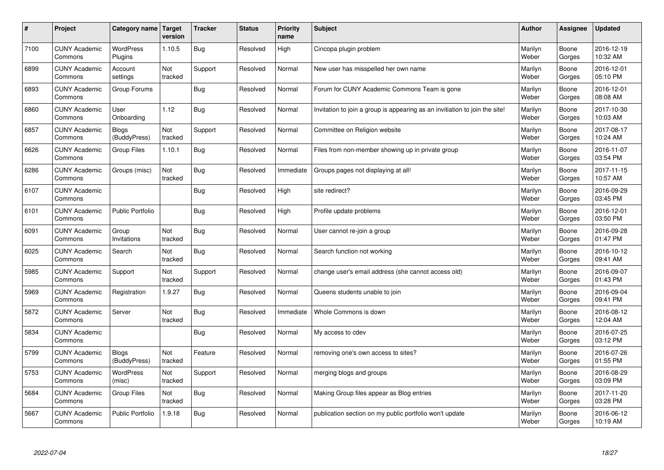| $\pmb{\#}$ | Project                         | Category name                | <b>Target</b><br>version | <b>Tracker</b> | <b>Status</b> | <b>Priority</b><br>name | <b>Subject</b>                                                              | <b>Author</b>    | Assignee        | <b>Updated</b>         |
|------------|---------------------------------|------------------------------|--------------------------|----------------|---------------|-------------------------|-----------------------------------------------------------------------------|------------------|-----------------|------------------------|
| 7100       | <b>CUNY Academic</b><br>Commons | <b>WordPress</b><br>Plugins  | 1.10.5                   | <b>Bug</b>     | Resolved      | High                    | Cincopa plugin problem                                                      | Marilyn<br>Weber | Boone<br>Gorges | 2016-12-19<br>10:32 AM |
| 6899       | <b>CUNY Academic</b><br>Commons | Account<br>settings          | Not<br>tracked           | Support        | Resolved      | Normal                  | New user has misspelled her own name                                        | Marilyn<br>Weber | Boone<br>Gorges | 2016-12-01<br>05:10 PM |
| 6893       | <b>CUNY Academic</b><br>Commons | Group Forums                 |                          | <b>Bug</b>     | Resolved      | Normal                  | Forum for CUNY Academic Commons Team is gone                                | Marilyn<br>Weber | Boone<br>Gorges | 2016-12-01<br>08:08 AM |
| 6860       | <b>CUNY Academic</b><br>Commons | User<br>Onboarding           | 1.12                     | Bug            | Resolved      | Normal                  | Invitation to join a group is appearing as an invitiation to join the site! | Marilyn<br>Weber | Boone<br>Gorges | 2017-10-30<br>10:03 AM |
| 6857       | <b>CUNY Academic</b><br>Commons | <b>Blogs</b><br>(BuddyPress) | Not<br>tracked           | Support        | Resolved      | Normal                  | Committee on Religion website                                               | Marilyn<br>Weber | Boone<br>Gorges | 2017-08-17<br>10:24 AM |
| 6626       | <b>CUNY Academic</b><br>Commons | Group Files                  | 1.10.1                   | Bug            | Resolved      | Normal                  | Files from non-member showing up in private group                           | Marilyn<br>Weber | Boone<br>Gorges | 2016-11-07<br>03:54 PM |
| 6286       | <b>CUNY Academic</b><br>Commons | Groups (misc)                | Not<br>tracked           | <b>Bug</b>     | Resolved      | Immediate               | Groups pages not displaying at all!                                         | Marilyn<br>Weber | Boone<br>Gorges | 2017-11-15<br>10:57 AM |
| 6107       | <b>CUNY Academic</b><br>Commons |                              |                          | Bug            | Resolved      | High                    | site redirect?                                                              | Marilyn<br>Weber | Boone<br>Gorges | 2016-09-29<br>03:45 PM |
| 6101       | <b>CUNY Academic</b><br>Commons | <b>Public Portfolio</b>      |                          | <b>Bug</b>     | Resolved      | High                    | Profile update problems                                                     | Marilyn<br>Weber | Boone<br>Gorges | 2016-12-01<br>03:50 PM |
| 6091       | <b>CUNY Academic</b><br>Commons | Group<br>Invitations         | Not<br>tracked           | Bug            | Resolved      | Normal                  | User cannot re-join a group                                                 | Marilyn<br>Weber | Boone<br>Gorges | 2016-09-28<br>01:47 PM |
| 6025       | <b>CUNY Academic</b><br>Commons | Search                       | Not<br>tracked           | <b>Bug</b>     | Resolved      | Normal                  | Search function not working                                                 | Marilyn<br>Weber | Boone<br>Gorges | 2016-10-12<br>09:41 AM |
| 5985       | <b>CUNY Academic</b><br>Commons | Support                      | Not<br>tracked           | Support        | Resolved      | Normal                  | change user's email address (she cannot access old)                         | Marilyn<br>Weber | Boone<br>Gorges | 2016-09-07<br>01:43 PM |
| 5969       | <b>CUNY Academic</b><br>Commons | Registration                 | 1.9.27                   | Bug            | Resolved      | Normal                  | Queens students unable to join                                              | Marilyn<br>Weber | Boone<br>Gorges | 2016-09-04<br>09:41 PM |
| 5872       | <b>CUNY Academic</b><br>Commons | Server                       | Not<br>tracked           | <b>Bug</b>     | Resolved      | Immediate               | Whole Commons is down                                                       | Marilyn<br>Weber | Boone<br>Gorges | 2016-08-12<br>12:04 AM |
| 5834       | <b>CUNY Academic</b><br>Commons |                              |                          | <b>Bug</b>     | Resolved      | Normal                  | My access to cdev                                                           | Marilyn<br>Weber | Boone<br>Gorges | 2016-07-25<br>03:12 PM |
| 5799       | <b>CUNY Academic</b><br>Commons | <b>Blogs</b><br>(BuddyPress) | <b>Not</b><br>tracked    | Feature        | Resolved      | Normal                  | removing one's own access to sites?                                         | Marilyn<br>Weber | Boone<br>Gorges | 2016-07-26<br>01:55 PM |
| 5753       | <b>CUNY Academic</b><br>Commons | WordPress<br>(misc)          | Not<br>tracked           | Support        | Resolved      | Normal                  | merging blogs and groups                                                    | Marilyn<br>Weber | Boone<br>Gorges | 2016-08-29<br>03:09 PM |
| 5684       | <b>CUNY Academic</b><br>Commons | <b>Group Files</b>           | Not<br>tracked           | <b>Bug</b>     | Resolved      | Normal                  | Making Group files appear as Blog entries                                   | Marilyn<br>Weber | Boone<br>Gorges | 2017-11-20<br>03:28 PM |
| 5667       | <b>CUNY Academic</b><br>Commons | <b>Public Portfolio</b>      | 1.9.18                   | Bug            | Resolved      | Normal                  | publication section on my public portfolio won't update                     | Marilyn<br>Weber | Boone<br>Gorges | 2016-06-12<br>10:19 AM |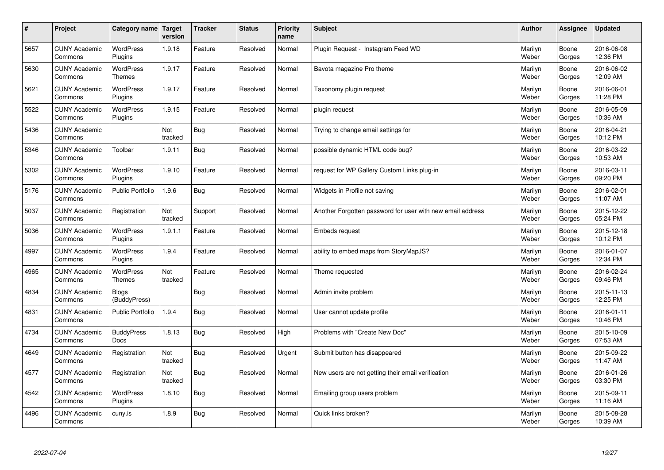| #    | Project                         | Category name   Target            | version        | <b>Tracker</b> | <b>Status</b> | <b>Priority</b><br>name | <b>Subject</b>                                             | <b>Author</b>    | <b>Assignee</b> | <b>Updated</b>         |
|------|---------------------------------|-----------------------------------|----------------|----------------|---------------|-------------------------|------------------------------------------------------------|------------------|-----------------|------------------------|
| 5657 | <b>CUNY Academic</b><br>Commons | <b>WordPress</b><br>Plugins       | 1.9.18         | Feature        | Resolved      | Normal                  | Plugin Request - Instagram Feed WD                         | Marilyn<br>Weber | Boone<br>Gorges | 2016-06-08<br>12:36 PM |
| 5630 | <b>CUNY Academic</b><br>Commons | WordPress<br>Themes               | 1.9.17         | Feature        | Resolved      | Normal                  | Bavota magazine Pro theme                                  | Marilyn<br>Weber | Boone<br>Gorges | 2016-06-02<br>12:09 AM |
| 5621 | <b>CUNY Academic</b><br>Commons | <b>WordPress</b><br>Plugins       | 1.9.17         | Feature        | Resolved      | Normal                  | Taxonomy plugin request                                    | Marilyn<br>Weber | Boone<br>Gorges | 2016-06-01<br>11:28 PM |
| 5522 | <b>CUNY Academic</b><br>Commons | <b>WordPress</b><br>Plugins       | 1.9.15         | Feature        | Resolved      | Normal                  | plugin request                                             | Marilyn<br>Weber | Boone<br>Gorges | 2016-05-09<br>10:36 AM |
| 5436 | <b>CUNY Academic</b><br>Commons |                                   | Not<br>tracked | Bug            | Resolved      | Normal                  | Trying to change email settings for                        | Marilyn<br>Weber | Boone<br>Gorges | 2016-04-21<br>10:12 PM |
| 5346 | <b>CUNY Academic</b><br>Commons | Toolbar                           | 1.9.11         | Bug            | Resolved      | Normal                  | possible dynamic HTML code bug?                            | Marilyn<br>Weber | Boone<br>Gorges | 2016-03-22<br>10:53 AM |
| 5302 | <b>CUNY Academic</b><br>Commons | WordPress<br>Plugins              | 1.9.10         | Feature        | Resolved      | Normal                  | request for WP Gallery Custom Links plug-in                | Marilyn<br>Weber | Boone<br>Gorges | 2016-03-11<br>09:20 PM |
| 5176 | <b>CUNY Academic</b><br>Commons | Public Portfolio                  | 1.9.6          | Bug            | Resolved      | Normal                  | Widgets in Profile not saving                              | Marilyn<br>Weber | Boone<br>Gorges | 2016-02-01<br>11:07 AM |
| 5037 | <b>CUNY Academic</b><br>Commons | Registration                      | Not<br>tracked | Support        | Resolved      | Normal                  | Another Forgotten password for user with new email address | Marilyn<br>Weber | Boone<br>Gorges | 2015-12-22<br>05:24 PM |
| 5036 | <b>CUNY Academic</b><br>Commons | <b>WordPress</b><br>Plugins       | 1.9.1.1        | Feature        | Resolved      | Normal                  | Embeds request                                             | Marilyn<br>Weber | Boone<br>Gorges | 2015-12-18<br>10:12 PM |
| 4997 | <b>CUNY Academic</b><br>Commons | <b>WordPress</b><br>Plugins       | 1.9.4          | Feature        | Resolved      | Normal                  | ability to embed maps from StoryMapJS?                     | Marilyn<br>Weber | Boone<br>Gorges | 2016-01-07<br>12:34 PM |
| 4965 | <b>CUNY Academic</b><br>Commons | <b>WordPress</b><br><b>Themes</b> | Not<br>tracked | Feature        | Resolved      | Normal                  | Theme requested                                            | Marilyn<br>Weber | Boone<br>Gorges | 2016-02-24<br>09:46 PM |
| 4834 | <b>CUNY Academic</b><br>Commons | <b>Blogs</b><br>(BuddyPress)      |                | Bug            | Resolved      | Normal                  | Admin invite problem                                       | Marilyn<br>Weber | Boone<br>Gorges | 2015-11-13<br>12:25 PM |
| 4831 | <b>CUNY Academic</b><br>Commons | <b>Public Portfolio</b>           | 1.9.4          | Bug            | Resolved      | Normal                  | User cannot update profile                                 | Marilyn<br>Weber | Boone<br>Gorges | 2016-01-11<br>10:46 PM |
| 4734 | <b>CUNY Academic</b><br>Commons | <b>BuddyPress</b><br><b>Docs</b>  | 1.8.13         | Bug            | Resolved      | High                    | Problems with "Create New Doc"                             | Marilyn<br>Weber | Boone<br>Gorges | 2015-10-09<br>07:53 AM |
| 4649 | <b>CUNY Academic</b><br>Commons | Registration                      | Not<br>tracked | Bug            | Resolved      | Urgent                  | Submit button has disappeared                              | Marilyn<br>Weber | Boone<br>Gorges | 2015-09-22<br>11:47 AM |
| 4577 | <b>CUNY Academic</b><br>Commons | Registration                      | Not<br>tracked | Bug            | Resolved      | Normal                  | New users are not getting their email verification         | Marilyn<br>Weber | Boone<br>Gorges | 2016-01-26<br>03:30 PM |
| 4542 | <b>CUNY Academic</b><br>Commons | <b>WordPress</b><br>Plugins       | 1.8.10         | Bug            | Resolved      | Normal                  | Emailing group users problem                               | Marilyn<br>Weber | Boone<br>Gorges | 2015-09-11<br>11:16 AM |
| 4496 | <b>CUNY Academic</b><br>Commons | cuny.is                           | 1.8.9          | Bug            | Resolved      | Normal                  | Quick links broken?                                        | Marilyn<br>Weber | Boone<br>Gorges | 2015-08-28<br>10:39 AM |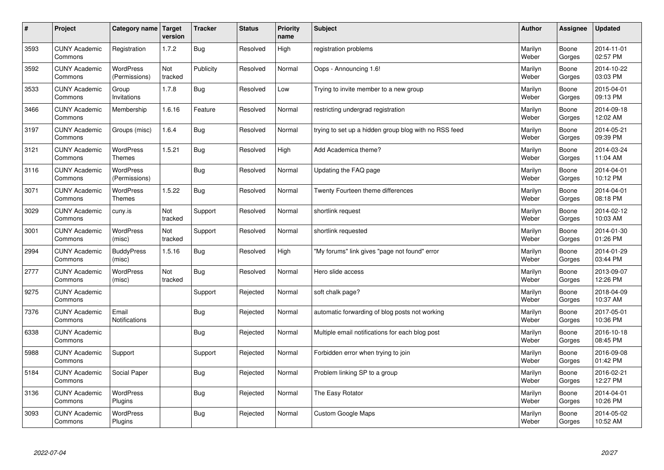| $\sharp$ | Project                         | Category name   Target            | version        | <b>Tracker</b> | <b>Status</b> | <b>Priority</b><br>name | <b>Subject</b>                                        | <b>Author</b>    | <b>Assignee</b> | <b>Updated</b>         |
|----------|---------------------------------|-----------------------------------|----------------|----------------|---------------|-------------------------|-------------------------------------------------------|------------------|-----------------|------------------------|
| 3593     | <b>CUNY Academic</b><br>Commons | Registration                      | 1.7.2          | <b>Bug</b>     | Resolved      | High                    | registration problems                                 | Marilyn<br>Weber | Boone<br>Gorges | 2014-11-01<br>02:57 PM |
| 3592     | <b>CUNY Academic</b><br>Commons | WordPress<br>(Permissions)        | Not<br>tracked | Publicity      | Resolved      | Normal                  | Oops - Announcing 1.6!                                | Marilyn<br>Weber | Boone<br>Gorges | 2014-10-22<br>03:03 PM |
| 3533     | <b>CUNY Academic</b><br>Commons | Group<br>Invitations              | 1.7.8          | Bug            | Resolved      | Low                     | Trying to invite member to a new group                | Marilyn<br>Weber | Boone<br>Gorges | 2015-04-01<br>09:13 PM |
| 3466     | <b>CUNY Academic</b><br>Commons | Membership                        | 1.6.16         | Feature        | Resolved      | Normal                  | restricting undergrad registration                    | Marilyn<br>Weber | Boone<br>Gorges | 2014-09-18<br>12:02 AM |
| 3197     | <b>CUNY Academic</b><br>Commons | Groups (misc)                     | 1.6.4          | Bug            | Resolved      | Normal                  | trying to set up a hidden group blog with no RSS feed | Marilyn<br>Weber | Boone<br>Gorges | 2014-05-21<br>09:39 PM |
| 3121     | <b>CUNY Academic</b><br>Commons | WordPress<br>Themes               | 1.5.21         | Bug            | Resolved      | High                    | Add Academica theme?                                  | Marilyn<br>Weber | Boone<br>Gorges | 2014-03-24<br>11:04 AM |
| 3116     | <b>CUNY Academic</b><br>Commons | <b>WordPress</b><br>(Permissions) |                | Bug            | Resolved      | Normal                  | Updating the FAQ page                                 | Marilyn<br>Weber | Boone<br>Gorges | 2014-04-01<br>10:12 PM |
| 3071     | <b>CUNY Academic</b><br>Commons | WordPress<br><b>Themes</b>        | 1.5.22         | Bug            | Resolved      | Normal                  | Twenty Fourteen theme differences                     | Marilyn<br>Weber | Boone<br>Gorges | 2014-04-01<br>08:18 PM |
| 3029     | <b>CUNY Academic</b><br>Commons | cuny.is                           | Not<br>tracked | Support        | Resolved      | Normal                  | shortlink request                                     | Marilyn<br>Weber | Boone<br>Gorges | 2014-02-12<br>10:03 AM |
| 3001     | <b>CUNY Academic</b><br>Commons | <b>WordPress</b><br>(misc)        | Not<br>tracked | Support        | Resolved      | Normal                  | shortlink requested                                   | Marilyn<br>Weber | Boone<br>Gorges | 2014-01-30<br>01:26 PM |
| 2994     | <b>CUNY Academic</b><br>Commons | <b>BuddyPress</b><br>(misc)       | 1.5.16         | Bug            | Resolved      | High                    | 'My forums" link gives "page not found" error         | Marilyn<br>Weber | Boone<br>Gorges | 2014-01-29<br>03:44 PM |
| 2777     | <b>CUNY Academic</b><br>Commons | <b>WordPress</b><br>(misc)        | Not<br>tracked | <b>Bug</b>     | Resolved      | Normal                  | Hero slide access                                     | Marilyn<br>Weber | Boone<br>Gorges | 2013-09-07<br>12:26 PM |
| 9275     | <b>CUNY Academic</b><br>Commons |                                   |                | Support        | Rejected      | Normal                  | soft chalk page?                                      | Marilyn<br>Weber | Boone<br>Gorges | 2018-04-09<br>10:37 AM |
| 7376     | <b>CUNY Academic</b><br>Commons | Email<br>Notifications            |                | Bug            | Rejected      | Normal                  | automatic forwarding of blog posts not working        | Marilyn<br>Weber | Boone<br>Gorges | 2017-05-01<br>10:36 PM |
| 6338     | <b>CUNY Academic</b><br>Commons |                                   |                | Bug            | Rejected      | Normal                  | Multiple email notifications for each blog post       | Marilyn<br>Weber | Boone<br>Gorges | 2016-10-18<br>08:45 PM |
| 5988     | <b>CUNY Academic</b><br>Commons | Support                           |                | Support        | Rejected      | Normal                  | Forbidden error when trying to join                   | Marilyn<br>Weber | Boone<br>Gorges | 2016-09-08<br>01:42 PM |
| 5184     | <b>CUNY Academic</b><br>Commons | Social Paper                      |                | Bug            | Rejected      | Normal                  | Problem linking SP to a group                         | Marilyn<br>Weber | Boone<br>Gorges | 2016-02-21<br>12:27 PM |
| 3136     | <b>CUNY Academic</b><br>Commons | WordPress<br>Plugins              |                | Bug            | Rejected      | Normal                  | The Easy Rotator                                      | Marilyn<br>Weber | Boone<br>Gorges | 2014-04-01<br>10:26 PM |
| 3093     | <b>CUNY Academic</b><br>Commons | <b>WordPress</b><br>Plugins       |                | <b>Bug</b>     | Rejected      | Normal                  | <b>Custom Google Maps</b>                             | Marilyn<br>Weber | Boone<br>Gorges | 2014-05-02<br>10:52 AM |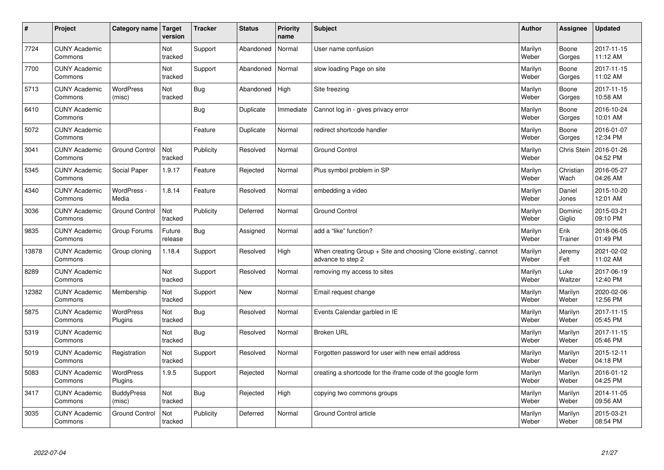| $\vert$ # | Project                         | Category name   Target      | version           | <b>Tracker</b> | <b>Status</b> | <b>Priority</b><br>name | <b>Subject</b>                                                                        | <b>Author</b>    | Assignee          | <b>Updated</b>         |
|-----------|---------------------------------|-----------------------------|-------------------|----------------|---------------|-------------------------|---------------------------------------------------------------------------------------|------------------|-------------------|------------------------|
| 7724      | <b>CUNY Academic</b><br>Commons |                             | Not<br>tracked    | Support        | Abandoned     | Normal                  | User name confusion                                                                   | Marilyn<br>Weber | Boone<br>Gorges   | 2017-11-15<br>11:12 AM |
| 7700      | <b>CUNY Academic</b><br>Commons |                             | Not<br>tracked    | Support        | Abandoned     | Normal                  | slow loading Page on site                                                             | Marilyn<br>Weber | Boone<br>Gorges   | 2017-11-15<br>11:02 AM |
| 5713      | <b>CUNY Academic</b><br>Commons | <b>WordPress</b><br>(misc)  | Not<br>tracked    | <b>Bug</b>     | Abandoned     | High                    | Site freezing                                                                         | Marilyn<br>Weber | Boone<br>Gorges   | 2017-11-15<br>10:58 AM |
| 6410      | <b>CUNY Academic</b><br>Commons |                             |                   | Bug            | Duplicate     | Immediate               | Cannot log in - gives privacy error                                                   | Marilyn<br>Weber | Boone<br>Gorges   | 2016-10-24<br>10:01 AM |
| 5072      | <b>CUNY Academic</b><br>Commons |                             |                   | Feature        | Duplicate     | Normal                  | redirect shortcode handler                                                            | Marilyn<br>Weber | Boone<br>Gorges   | 2016-01-07<br>12:34 PM |
| 3041      | <b>CUNY Academic</b><br>Commons | <b>Ground Control</b>       | Not<br>tracked    | Publicity      | Resolved      | Normal                  | <b>Ground Control</b>                                                                 | Marilyn<br>Weber | Chris Stein       | 2016-01-26<br>04:52 PM |
| 5345      | <b>CUNY Academic</b><br>Commons | Social Paper                | 1.9.17            | Feature        | Rejected      | Normal                  | Plus symbol problem in SP                                                             | Marilyn<br>Weber | Christian<br>Wach | 2016-05-27<br>04:26 AM |
| 4340      | <b>CUNY Academic</b><br>Commons | WordPress -<br>Media        | 1.8.14            | Feature        | Resolved      | Normal                  | embedding a video                                                                     | Marilyn<br>Weber | Daniel<br>Jones   | 2015-10-20<br>12:01 AM |
| 3036      | <b>CUNY Academic</b><br>Commons | <b>Ground Control</b>       | Not<br>tracked    | Publicity      | Deferred      | Normal                  | <b>Ground Control</b>                                                                 | Marilyn<br>Weber | Dominic<br>Giglio | 2015-03-21<br>09:10 PM |
| 9835      | <b>CUNY Academic</b><br>Commons | Group Forums                | Future<br>release | <b>Bug</b>     | Assigned      | Normal                  | add a "like" function?                                                                | Marilyn<br>Weber | Erik<br>Trainer   | 2018-06-05<br>01:49 PM |
| 13878     | <b>CUNY Academic</b><br>Commons | Group cloning               | 1.18.4            | Support        | Resolved      | High                    | When creating Group + Site and choosing 'Clone existing', cannot<br>advance to step 2 | Marilyn<br>Weber | Jeremy<br>Felt    | 2021-02-02<br>11:02 AM |
| 8289      | <b>CUNY Academic</b><br>Commons |                             | Not<br>tracked    | Support        | Resolved      | Normal                  | removing my access to sites                                                           | Marilyn<br>Weber | Luke<br>Waltzer   | 2017-06-19<br>12:40 PM |
| 12382     | <b>CUNY Academic</b><br>Commons | Membership                  | Not<br>tracked    | Support        | New           | Normal                  | Email request change                                                                  | Marilyn<br>Weber | Marilyn<br>Weber  | 2020-02-06<br>12:56 PM |
| 5875      | <b>CUNY Academic</b><br>Commons | WordPress<br>Plugins        | Not<br>tracked    | <b>Bug</b>     | Resolved      | Normal                  | Events Calendar garbled in IE                                                         | Marilyn<br>Weber | Marilyn<br>Weber  | 2017-11-15<br>05:45 PM |
| 5319      | <b>CUNY Academic</b><br>Commons |                             | Not<br>tracked    | Bug            | Resolved      | Normal                  | <b>Broken URL</b>                                                                     | Marilyn<br>Weber | Marilyn<br>Weber  | 2017-11-15<br>05:46 PM |
| 5019      | <b>CUNY Academic</b><br>Commons | Registration                | Not<br>tracked    | Support        | Resolved      | Normal                  | Forgotten password for user with new email address                                    | Marilyn<br>Weber | Marilyn<br>Weber  | 2015-12-11<br>04:18 PM |
| 5083      | <b>CUNY Academic</b><br>Commons | <b>WordPress</b><br>Plugins | 1.9.5             | Support        | Rejected      | Normal                  | creating a shortcode for the iframe code of the google form                           | Marilyn<br>Weber | Marilyn<br>Weber  | 2016-01-12<br>04:25 PM |
| 3417      | <b>CUNY Academic</b><br>Commons | <b>BuddyPress</b><br>(misc) | Not<br>tracked    | <b>Bug</b>     | Rejected      | High                    | copying two commons groups                                                            | Marilyn<br>Weber | Marilyn<br>Weber  | 2014-11-05<br>09:56 AM |
| 3035      | <b>CUNY Academic</b><br>Commons | <b>Ground Control</b>       | Not<br>tracked    | Publicity      | Deferred      | Normal                  | <b>Ground Control article</b>                                                         | Marilyn<br>Weber | Marilyn<br>Weber  | 2015-03-21<br>08:54 PM |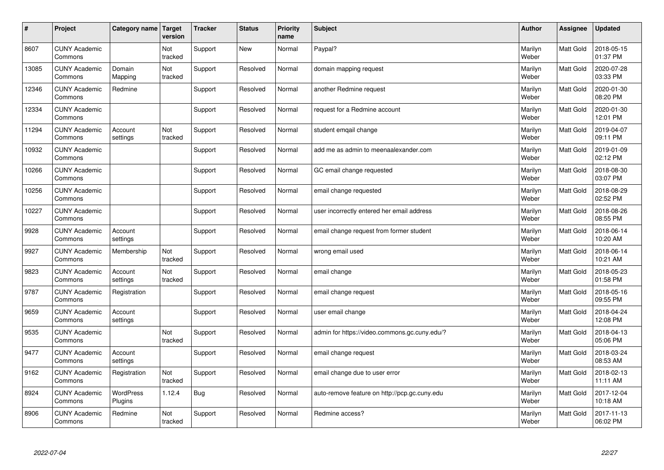| $\vert$ # | Project                         | Category name        | <b>Target</b><br>version | <b>Tracker</b> | <b>Status</b> | <b>Priority</b><br>name | <b>Subject</b>                                | <b>Author</b>    | <b>Assignee</b>  | <b>Updated</b>         |
|-----------|---------------------------------|----------------------|--------------------------|----------------|---------------|-------------------------|-----------------------------------------------|------------------|------------------|------------------------|
| 8607      | <b>CUNY Academic</b><br>Commons |                      | Not<br>tracked           | Support        | <b>New</b>    | Normal                  | Paypal?                                       | Marilyn<br>Weber | <b>Matt Gold</b> | 2018-05-15<br>01:37 PM |
| 13085     | <b>CUNY Academic</b><br>Commons | Domain<br>Mapping    | Not<br>tracked           | Support        | Resolved      | Normal                  | domain mapping request                        | Marilyn<br>Weber | <b>Matt Gold</b> | 2020-07-28<br>03:33 PM |
| 12346     | <b>CUNY Academic</b><br>Commons | Redmine              |                          | Support        | Resolved      | Normal                  | another Redmine request                       | Marilyn<br>Weber | <b>Matt Gold</b> | 2020-01-30<br>08:20 PM |
| 12334     | <b>CUNY Academic</b><br>Commons |                      |                          | Support        | Resolved      | Normal                  | request for a Redmine account                 | Marilyn<br>Weber | Matt Gold        | 2020-01-30<br>12:01 PM |
| 11294     | <b>CUNY Academic</b><br>Commons | Account<br>settings  | Not<br>tracked           | Support        | Resolved      | Normal                  | student emgail change                         | Marilyn<br>Weber | Matt Gold        | 2019-04-07<br>09:11 PM |
| 10932     | <b>CUNY Academic</b><br>Commons |                      |                          | Support        | Resolved      | Normal                  | add me as admin to meenaalexander.com         | Marilyn<br>Weber | Matt Gold        | 2019-01-09<br>02:12 PM |
| 10266     | <b>CUNY Academic</b><br>Commons |                      |                          | Support        | Resolved      | Normal                  | GC email change requested                     | Marilyn<br>Weber | Matt Gold        | 2018-08-30<br>03:07 PM |
| 10256     | <b>CUNY Academic</b><br>Commons |                      |                          | Support        | Resolved      | Normal                  | email change requested                        | Marilyn<br>Weber | Matt Gold        | 2018-08-29<br>02:52 PM |
| 10227     | <b>CUNY Academic</b><br>Commons |                      |                          | Support        | Resolved      | Normal                  | user incorrectly entered her email address    | Marilyn<br>Weber | <b>Matt Gold</b> | 2018-08-26<br>08:55 PM |
| 9928      | <b>CUNY Academic</b><br>Commons | Account<br>settings  |                          | Support        | Resolved      | Normal                  | email change request from former student      | Marilyn<br>Weber | <b>Matt Gold</b> | 2018-06-14<br>10:20 AM |
| 9927      | <b>CUNY Academic</b><br>Commons | Membership           | Not<br>tracked           | Support        | Resolved      | Normal                  | wrong email used                              | Marilyn<br>Weber | Matt Gold        | 2018-06-14<br>10:21 AM |
| 9823      | <b>CUNY Academic</b><br>Commons | Account<br>settings  | Not<br>tracked           | Support        | Resolved      | Normal                  | email change                                  | Marilyn<br>Weber | Matt Gold        | 2018-05-23<br>01:58 PM |
| 9787      | <b>CUNY Academic</b><br>Commons | Registration         |                          | Support        | Resolved      | Normal                  | email change request                          | Marilyn<br>Weber | <b>Matt Gold</b> | 2018-05-16<br>09:55 PM |
| 9659      | <b>CUNY Academic</b><br>Commons | Account<br>settings  |                          | Support        | Resolved      | Normal                  | user email change                             | Marilyn<br>Weber | Matt Gold        | 2018-04-24<br>12:08 PM |
| 9535      | <b>CUNY Academic</b><br>Commons |                      | Not<br>tracked           | Support        | Resolved      | Normal                  | admin for https://video.commons.gc.cuny.edu/? | Marilyn<br>Weber | Matt Gold        | 2018-04-13<br>05:06 PM |
| 9477      | <b>CUNY Academic</b><br>Commons | Account<br>settings  |                          | Support        | Resolved      | Normal                  | email change request                          | Marilyn<br>Weber | <b>Matt Gold</b> | 2018-03-24<br>08:53 AM |
| 9162      | <b>CUNY Academic</b><br>Commons | Registration         | Not<br>tracked           | Support        | Resolved      | Normal                  | email change due to user error                | Marilyn<br>Weber | Matt Gold        | 2018-02-13<br>11:11 AM |
| 8924      | <b>CUNY Academic</b><br>Commons | WordPress<br>Plugins | 1.12.4                   | <b>Bug</b>     | Resolved      | Normal                  | auto-remove feature on http://pcp.gc.cuny.edu | Marilyn<br>Weber | Matt Gold        | 2017-12-04<br>10:18 AM |
| 8906      | <b>CUNY Academic</b><br>Commons | Redmine              | Not<br>tracked           | Support        | Resolved      | Normal                  | Redmine access?                               | Marilyn<br>Weber | <b>Matt Gold</b> | 2017-11-13<br>06:02 PM |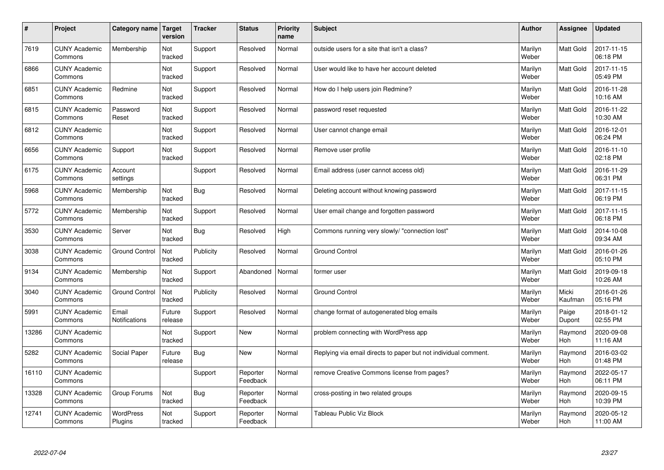| #     | Project                         | Category name               | <b>Target</b><br>version | <b>Tracker</b> | <b>Status</b>        | <b>Priority</b><br>name | <b>Subject</b>                                                  | <b>Author</b>    | Assignee         | <b>Updated</b>         |
|-------|---------------------------------|-----------------------------|--------------------------|----------------|----------------------|-------------------------|-----------------------------------------------------------------|------------------|------------------|------------------------|
| 7619  | <b>CUNY Academic</b><br>Commons | Membership                  | Not<br>tracked           | Support        | Resolved             | Normal                  | outside users for a site that isn't a class?                    | Marilyn<br>Weber | Matt Gold        | 2017-11-15<br>06:18 PM |
| 6866  | <b>CUNY Academic</b><br>Commons |                             | Not<br>tracked           | Support        | Resolved             | Normal                  | User would like to have her account deleted                     | Marilyn<br>Weber | Matt Gold        | 2017-11-15<br>05:49 PM |
| 6851  | <b>CUNY Academic</b><br>Commons | Redmine                     | Not<br>tracked           | Support        | Resolved             | Normal                  | How do I help users join Redmine?                               | Marilyn<br>Weber | Matt Gold        | 2016-11-28<br>10:16 AM |
| 6815  | <b>CUNY Academic</b><br>Commons | Password<br>Reset           | Not<br>tracked           | Support        | Resolved             | Normal                  | password reset requested                                        | Marilyn<br>Weber | Matt Gold        | 2016-11-22<br>10:30 AM |
| 6812  | <b>CUNY Academic</b><br>Commons |                             | Not<br>tracked           | Support        | Resolved             | Normal                  | User cannot change email                                        | Marilyn<br>Weber | <b>Matt Gold</b> | 2016-12-01<br>06:24 PM |
| 6656  | <b>CUNY Academic</b><br>Commons | Support                     | Not<br>tracked           | Support        | Resolved             | Normal                  | Remove user profile                                             | Marilyn<br>Weber | Matt Gold        | 2016-11-10<br>02:18 PM |
| 6175  | <b>CUNY Academic</b><br>Commons | Account<br>settings         |                          | Support        | Resolved             | Normal                  | Email address (user cannot access old)                          | Marilyn<br>Weber | <b>Matt Gold</b> | 2016-11-29<br>06:31 PM |
| 5968  | <b>CUNY Academic</b><br>Commons | Membership                  | Not<br>tracked           | <b>Bug</b>     | Resolved             | Normal                  | Deleting account without knowing password                       | Marilyn<br>Weber | Matt Gold        | 2017-11-15<br>06:19 PM |
| 5772  | <b>CUNY Academic</b><br>Commons | Membership                  | Not<br>tracked           | Support        | Resolved             | Normal                  | User email change and forgotten password                        | Marilyn<br>Weber | <b>Matt Gold</b> | 2017-11-15<br>06:18 PM |
| 3530  | <b>CUNY Academic</b><br>Commons | Server                      | Not<br>tracked           | <b>Bug</b>     | Resolved             | High                    | Commons running very slowly/ "connection lost"                  | Marilyn<br>Weber | Matt Gold        | 2014-10-08<br>09:34 AM |
| 3038  | <b>CUNY Academic</b><br>Commons | <b>Ground Control</b>       | Not<br>tracked           | Publicity      | Resolved             | Normal                  | <b>Ground Control</b>                                           | Marilyn<br>Weber | Matt Gold        | 2016-01-26<br>05:10 PM |
| 9134  | <b>CUNY Academic</b><br>Commons | Membership                  | Not<br>tracked           | Support        | Abandoned            | Normal                  | former user                                                     | Marilyn<br>Weber | Matt Gold        | 2019-09-18<br>10:26 AM |
| 3040  | <b>CUNY Academic</b><br>Commons | <b>Ground Control</b>       | Not<br>tracked           | Publicity      | Resolved             | Normal                  | <b>Ground Control</b>                                           | Marilyn<br>Weber | Micki<br>Kaufman | 2016-01-26<br>05:16 PM |
| 5991  | <b>CUNY Academic</b><br>Commons | Email<br>Notifications      | Future<br>release        | Support        | Resolved             | Normal                  | change format of autogenerated blog emails                      | Marilyn<br>Weber | Paige<br>Dupont  | 2018-01-12<br>02:55 PM |
| 13286 | <b>CUNY Academic</b><br>Commons |                             | Not<br>tracked           | Support        | New                  | Normal                  | problem connecting with WordPress app                           | Marilyn<br>Weber | Raymond<br>Hoh   | 2020-09-08<br>11:16 AM |
| 5282  | <b>CUNY Academic</b><br>Commons | Social Paper                | Future<br>release        | <b>Bug</b>     | New                  | Normal                  | Replying via email directs to paper but not individual comment. | Marilyn<br>Weber | Raymond<br>Hoh   | 2016-03-02<br>01:48 PM |
| 16110 | <b>CUNY Academic</b><br>Commons |                             |                          | Support        | Reporter<br>Feedback | Normal                  | remove Creative Commons license from pages?                     | Marilyn<br>Weber | Raymond<br>Hoh   | 2022-05-17<br>06:11 PM |
| 13328 | <b>CUNY Academic</b><br>Commons | Group Forums                | Not<br>tracked           | <b>Bug</b>     | Reporter<br>Feedback | Normal                  | cross-posting in two related groups                             | Marilyn<br>Weber | Raymond<br>Hoh   | 2020-09-15<br>10:39 PM |
| 12741 | <b>CUNY Academic</b><br>Commons | <b>WordPress</b><br>Plugins | Not<br>tracked           | Support        | Reporter<br>Feedback | Normal                  | Tableau Public Viz Block                                        | Marilyn<br>Weber | Raymond<br>Hoh   | 2020-05-12<br>11:00 AM |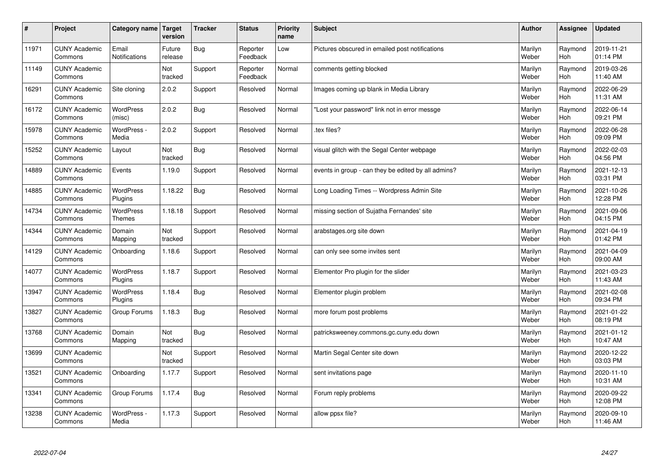| $\vert$ # | Project                         | Category name   Target        | version           | <b>Tracker</b> | <b>Status</b>        | <b>Priority</b><br>name | <b>Subject</b>                                      | <b>Author</b>    | <b>Assignee</b>       | <b>Updated</b>         |
|-----------|---------------------------------|-------------------------------|-------------------|----------------|----------------------|-------------------------|-----------------------------------------------------|------------------|-----------------------|------------------------|
| 11971     | <b>CUNY Academic</b><br>Commons | Email<br><b>Notifications</b> | Future<br>release | Bug            | Reporter<br>Feedback | Low                     | Pictures obscured in emailed post notifications     | Marilyn<br>Weber | Raymond<br>Hoh        | 2019-11-21<br>01:14 PM |
| 11149     | <b>CUNY Academic</b><br>Commons |                               | Not<br>tracked    | Support        | Reporter<br>Feedback | Normal                  | comments getting blocked                            | Marilyn<br>Weber | Raymond<br>Hoh        | 2019-03-26<br>11:40 AM |
| 16291     | <b>CUNY Academic</b><br>Commons | Site cloning                  | 2.0.2             | Support        | Resolved             | Normal                  | Images coming up blank in Media Library             | Marilyn<br>Weber | Raymond<br>Hoh        | 2022-06-29<br>11:31 AM |
| 16172     | <b>CUNY Academic</b><br>Commons | <b>WordPress</b><br>(misc)    | 2.0.2             | Bug            | Resolved             | Normal                  | 'Lost your password" link not in error messge       | Marilyn<br>Weber | Raymond<br><b>Hoh</b> | 2022-06-14<br>09:21 PM |
| 15978     | <b>CUNY Academic</b><br>Commons | WordPress -<br>Media          | 2.0.2             | Support        | Resolved             | Normal                  | tex files?                                          | Marilyn<br>Weber | Raymond<br>Hoh        | 2022-06-28<br>09:09 PM |
| 15252     | <b>CUNY Academic</b><br>Commons | Layout                        | Not<br>tracked    | Bug            | Resolved             | Normal                  | visual glitch with the Segal Center webpage         | Marilyn<br>Weber | Raymond<br>Hoh        | 2022-02-03<br>04:56 PM |
| 14889     | <b>CUNY Academic</b><br>Commons | Events                        | 1.19.0            | Support        | Resolved             | Normal                  | events in group - can they be edited by all admins? | Marilyn<br>Weber | Raymond<br>Hoh        | 2021-12-13<br>03:31 PM |
| 14885     | <b>CUNY Academic</b><br>Commons | WordPress<br>Plugins          | 1.18.22           | Bug            | Resolved             | Normal                  | Long Loading Times -- Wordpress Admin Site          | Marilyn<br>Weber | Raymond<br>Hoh        | 2021-10-26<br>12:28 PM |
| 14734     | <b>CUNY Academic</b><br>Commons | WordPress<br><b>Themes</b>    | 1.18.18           | Support        | Resolved             | Normal                  | missing section of Sujatha Fernandes' site          | Marilyn<br>Weber | Raymond<br>Hoh        | 2021-09-06<br>04:15 PM |
| 14344     | <b>CUNY Academic</b><br>Commons | Domain<br>Mapping             | Not<br>tracked    | Support        | Resolved             | Normal                  | arabstages.org site down                            | Marilyn<br>Weber | Raymond<br>Hoh        | 2021-04-19<br>01:42 PM |
| 14129     | <b>CUNY Academic</b><br>Commons | Onboarding                    | 1.18.6            | Support        | Resolved             | Normal                  | can only see some invites sent                      | Marilyn<br>Weber | Raymond<br>Hoh        | 2021-04-09<br>09:00 AM |
| 14077     | <b>CUNY Academic</b><br>Commons | WordPress<br>Plugins          | 1.18.7            | Support        | Resolved             | Normal                  | Elementor Pro plugin for the slider                 | Marilyn<br>Weber | Raymond<br>Hoh        | 2021-03-23<br>11:43 AM |
| 13947     | <b>CUNY Academic</b><br>Commons | <b>WordPress</b><br>Plugins   | 1.18.4            | <b>Bug</b>     | Resolved             | Normal                  | Elementor plugin problem                            | Marilyn<br>Weber | Raymond<br>Hoh        | 2021-02-08<br>09:34 PM |
| 13827     | <b>CUNY Academic</b><br>Commons | Group Forums                  | 1.18.3            | <b>Bug</b>     | Resolved             | Normal                  | more forum post problems                            | Marilyn<br>Weber | Raymond<br><b>Hoh</b> | 2021-01-22<br>08:19 PM |
| 13768     | <b>CUNY Academic</b><br>Commons | Domain<br>Mapping             | Not<br>tracked    | Bug            | Resolved             | Normal                  | patricksweeney.commons.gc.cuny.edu down             | Marilyn<br>Weber | Raymond<br>Hoh        | 2021-01-12<br>10:47 AM |
| 13699     | <b>CUNY Academic</b><br>Commons |                               | Not<br>tracked    | Support        | Resolved             | Normal                  | Martin Segal Center site down                       | Marilyn<br>Weber | Raymond<br>Hoh        | 2020-12-22<br>03:03 PM |
| 13521     | <b>CUNY Academic</b><br>Commons | Onboarding                    | 1.17.7            | Support        | Resolved             | Normal                  | sent invitations page                               | Marilyn<br>Weber | Raymond<br>Hoh        | 2020-11-10<br>10:31 AM |
| 13341     | <b>CUNY Academic</b><br>Commons | Group Forums                  | 1.17.4            | <b>Bug</b>     | Resolved             | Normal                  | Forum reply problems                                | Marilyn<br>Weber | Raymond<br>Hoh        | 2020-09-22<br>12:08 PM |
| 13238     | <b>CUNY Academic</b><br>Commons | WordPress -<br>Media          | 1.17.3            | Support        | Resolved             | Normal                  | allow ppsx file?                                    | Marilyn<br>Weber | Raymond<br>Hoh        | 2020-09-10<br>11:46 AM |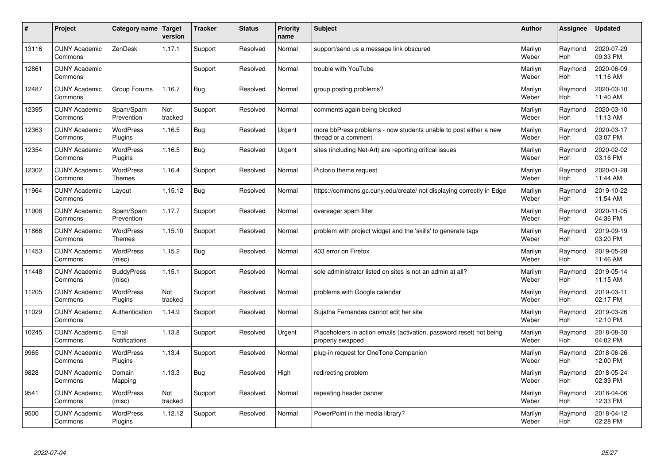| $\pmb{\#}$ | Project                         | Category name                     | Target<br>version | <b>Tracker</b> | <b>Status</b> | <b>Priority</b><br>name | <b>Subject</b>                                                                           | <b>Author</b>    | <b>Assignee</b>       | <b>Updated</b>         |
|------------|---------------------------------|-----------------------------------|-------------------|----------------|---------------|-------------------------|------------------------------------------------------------------------------------------|------------------|-----------------------|------------------------|
| 13116      | <b>CUNY Academic</b><br>Commons | ZenDesk                           | 1.17.1            | Support        | Resolved      | Normal                  | support/send us a message link obscured                                                  | Marilyn<br>Weber | Raymond<br>Hoh        | 2020-07-29<br>09:33 PM |
| 12861      | <b>CUNY Academic</b><br>Commons |                                   |                   | Support        | Resolved      | Normal                  | trouble with YouTube                                                                     | Marilyn<br>Weber | Raymond<br>Hoh        | 2020-06-09<br>11:16 AM |
| 12487      | <b>CUNY Academic</b><br>Commons | Group Forums                      | 1.16.7            | <b>Bug</b>     | Resolved      | Normal                  | group posting problems?                                                                  | Marilyn<br>Weber | Raymond<br>Hoh        | 2020-03-10<br>11:40 AM |
| 12395      | <b>CUNY Academic</b><br>Commons | Spam/Spam<br>Prevention           | Not<br>tracked    | Support        | Resolved      | Normal                  | comments again being blocked                                                             | Marilyn<br>Weber | Raymond<br>Hoh        | 2020-03-10<br>11:13 AM |
| 12363      | <b>CUNY Academic</b><br>Commons | <b>WordPress</b><br>Plugins       | 1.16.5            | <b>Bug</b>     | Resolved      | Urgent                  | more bbPress problems - now students unable to post either a new<br>thread or a comment  | Marilyn<br>Weber | Raymond<br><b>Hoh</b> | 2020-03-17<br>03:07 PM |
| 12354      | <b>CUNY Academic</b><br>Commons | <b>WordPress</b><br>Plugins       | 1.16.5            | <b>Bug</b>     | Resolved      | Urgent                  | sites (including Net-Art) are reporting critical issues                                  | Marilyn<br>Weber | Raymond<br>Hoh        | 2020-02-02<br>03:16 PM |
| 12302      | <b>CUNY Academic</b><br>Commons | <b>WordPress</b><br><b>Themes</b> | 1.16.4            | Support        | Resolved      | Normal                  | Pictorio theme request                                                                   | Marilyn<br>Weber | Raymond<br>Hoh        | 2020-01-28<br>11:44 AM |
| 11964      | <b>CUNY Academic</b><br>Commons | Layout                            | 1.15.12           | <b>Bug</b>     | Resolved      | Normal                  | https://commons.gc.cuny.edu/create/ not displaying correctly in Edge                     | Marilyn<br>Weber | Raymond<br>Hoh        | 2019-10-22<br>11:54 AM |
| 11908      | <b>CUNY Academic</b><br>Commons | Spam/Spam<br>Prevention           | 1.17.7            | Support        | Resolved      | Normal                  | overeager spam filter                                                                    | Marilyn<br>Weber | Raymond<br>Hoh        | 2020-11-05<br>04:36 PM |
| 11866      | <b>CUNY Academic</b><br>Commons | <b>WordPress</b><br>Themes        | 1.15.10           | Support        | Resolved      | Normal                  | problem with project widget and the 'skills' to generate tags                            | Marilyn<br>Weber | Raymond<br>Hoh        | 2019-09-19<br>03:20 PM |
| 11453      | <b>CUNY Academic</b><br>Commons | <b>WordPress</b><br>(misc)        | 1.15.2            | <b>Bug</b>     | Resolved      | Normal                  | 403 error on Firefox                                                                     | Marilyn<br>Weber | Raymond<br>Hoh        | 2019-05-28<br>11:46 AM |
| 11448      | <b>CUNY Academic</b><br>Commons | <b>BuddyPress</b><br>(misc)       | 1.15.1            | Support        | Resolved      | Normal                  | sole administrator listed on sites is not an admin at all?                               | Marilyn<br>Weber | Raymond<br><b>Hoh</b> | 2019-05-14<br>11:15 AM |
| 11205      | <b>CUNY Academic</b><br>Commons | <b>WordPress</b><br>Plugins       | Not<br>tracked    | Support        | Resolved      | Normal                  | problems with Google calendar                                                            | Marilyn<br>Weber | Raymond<br>Hoh        | 2019-03-11<br>02:17 PM |
| 11029      | <b>CUNY Academic</b><br>Commons | Authentication                    | 1.14.9            | Support        | Resolved      | Normal                  | Sujatha Fernandes cannot edit her site                                                   | Marilyn<br>Weber | Raymond<br><b>Hoh</b> | 2019-03-26<br>12:10 PM |
| 10245      | <b>CUNY Academic</b><br>Commons | Email<br>Notifications            | 1.13.8            | Support        | Resolved      | Urgent                  | Placeholders in action emails (activation, password reset) not being<br>properly swapped | Marilyn<br>Weber | Raymond<br>Hoh        | 2018-08-30<br>04:02 PM |
| 9965       | <b>CUNY Academic</b><br>Commons | <b>WordPress</b><br>Plugins       | 1.13.4            | Support        | Resolved      | Normal                  | plug-in request for OneTone Companion                                                    | Marilyn<br>Weber | Raymond<br>Hoh        | 2018-06-26<br>12:00 PM |
| 9828       | <b>CUNY Academic</b><br>Commons | Domain<br>Mapping                 | 1.13.3            | Bug            | Resolved      | High                    | redirecting problem                                                                      | Marilyn<br>Weber | Raymond<br><b>Hoh</b> | 2018-05-24<br>02:39 PM |
| 9541       | <b>CUNY Academic</b><br>Commons | WordPress<br>(misc)               | Not<br>tracked    | Support        | Resolved      | Normal                  | repeating header banner                                                                  | Marilyn<br>Weber | Raymond<br>Hoh        | 2018-04-06<br>12:33 PM |
| 9500       | <b>CUNY Academic</b><br>Commons | <b>WordPress</b><br>Plugins       | 1.12.12           | Support        | Resolved      | Normal                  | PowerPoint in the media library?                                                         | Marilyn<br>Weber | Raymond<br>Hoh        | 2018-04-12<br>02:28 PM |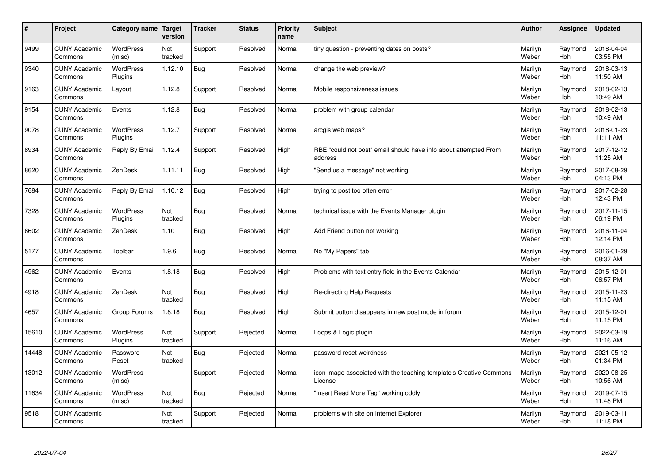| $\sharp$ | Project                         | Category name Target        | version        | <b>Tracker</b> | <b>Status</b> | <b>Priority</b><br>name | <b>Subject</b>                                                                 | <b>Author</b>    | Assignee       | <b>Updated</b>         |
|----------|---------------------------------|-----------------------------|----------------|----------------|---------------|-------------------------|--------------------------------------------------------------------------------|------------------|----------------|------------------------|
| 9499     | <b>CUNY Academic</b><br>Commons | <b>WordPress</b><br>(misc)  | Not<br>tracked | Support        | Resolved      | Normal                  | tiny question - preventing dates on posts?                                     | Marilyn<br>Weber | Raymond<br>Hoh | 2018-04-04<br>03:55 PM |
| 9340     | <b>CUNY Academic</b><br>Commons | <b>WordPress</b><br>Plugins | 1.12.10        | Bug            | Resolved      | Normal                  | change the web preview?                                                        | Marilyn<br>Weber | Raymond<br>Hoh | 2018-03-13<br>11:50 AM |
| 9163     | <b>CUNY Academic</b><br>Commons | Layout                      | 1.12.8         | Support        | Resolved      | Normal                  | Mobile responsiveness issues                                                   | Marilyn<br>Weber | Raymond<br>Hoh | 2018-02-13<br>10:49 AM |
| 9154     | <b>CUNY Academic</b><br>Commons | Events                      | 1.12.8         | <b>Bug</b>     | Resolved      | Normal                  | problem with group calendar                                                    | Marilyn<br>Weber | Raymond<br>Hoh | 2018-02-13<br>10:49 AM |
| 9078     | <b>CUNY Academic</b><br>Commons | <b>WordPress</b><br>Plugins | 1.12.7         | Support        | Resolved      | Normal                  | arcgis web maps?                                                               | Marilyn<br>Weber | Raymond<br>Hoh | 2018-01-23<br>11:11 AM |
| 8934     | <b>CUNY Academic</b><br>Commons | Reply By Email              | 1.12.4         | Support        | Resolved      | High                    | RBE "could not post" email should have info about attempted From<br>address    | Marilyn<br>Weber | Raymond<br>Hoh | 2017-12-12<br>11:25 AM |
| 8620     | <b>CUNY Academic</b><br>Commons | ZenDesk                     | 1.11.11        | <b>Bug</b>     | Resolved      | High                    | 'Send us a message" not working                                                | Marilyn<br>Weber | Raymond<br>Hoh | 2017-08-29<br>04:13 PM |
| 7684     | <b>CUNY Academic</b><br>Commons | Reply By Email              | 1.10.12        | <b>Bug</b>     | Resolved      | High                    | trying to post too often error                                                 | Marilyn<br>Weber | Raymond<br>Hoh | 2017-02-28<br>12:43 PM |
| 7328     | <b>CUNY Academic</b><br>Commons | <b>WordPress</b><br>Plugins | Not<br>tracked | Bug            | Resolved      | Normal                  | technical issue with the Events Manager plugin                                 | Marilyn<br>Weber | Raymond<br>Hoh | 2017-11-15<br>06:19 PM |
| 6602     | <b>CUNY Academic</b><br>Commons | ZenDesk                     | 1.10           | <b>Bug</b>     | Resolved      | High                    | Add Friend button not working                                                  | Marilyn<br>Weber | Raymond<br>Hoh | 2016-11-04<br>12:14 PM |
| 5177     | <b>CUNY Academic</b><br>Commons | Toolbar                     | 1.9.6          | Bug            | Resolved      | Normal                  | No "My Papers" tab                                                             | Marilyn<br>Weber | Raymond<br>Hoh | 2016-01-29<br>08:37 AM |
| 4962     | <b>CUNY Academic</b><br>Commons | Events                      | 1.8.18         | <b>Bug</b>     | Resolved      | High                    | Problems with text entry field in the Events Calendar                          | Marilyn<br>Weber | Raymond<br>Hoh | 2015-12-01<br>06:57 PM |
| 4918     | <b>CUNY Academic</b><br>Commons | ZenDesk                     | Not<br>tracked | <b>Bug</b>     | Resolved      | High                    | Re-directing Help Requests                                                     | Marilyn<br>Weber | Raymond<br>Hoh | 2015-11-23<br>11:15 AM |
| 4657     | <b>CUNY Academic</b><br>Commons | Group Forums                | 1.8.18         | <b>Bug</b>     | Resolved      | High                    | Submit button disappears in new post mode in forum                             | Marilyn<br>Weber | Raymond<br>Hoh | 2015-12-01<br>11:15 PM |
| 15610    | <b>CUNY Academic</b><br>Commons | <b>WordPress</b><br>Plugins | Not<br>tracked | Support        | Rejected      | Normal                  | Loops & Logic plugin                                                           | Marilyn<br>Weber | Raymond<br>Hoh | 2022-03-19<br>11:16 AM |
| 14448    | <b>CUNY Academic</b><br>Commons | Password<br>Reset           | Not<br>tracked | <b>Bug</b>     | Rejected      | Normal                  | password reset weirdness                                                       | Marilyn<br>Weber | Raymond<br>Hoh | 2021-05-12<br>01:34 PM |
| 13012    | <b>CUNY Academic</b><br>Commons | WordPress<br>(misc)         |                | Support        | Rejected      | Normal                  | icon image associated with the teaching template's Creative Commons<br>License | Marilyn<br>Weber | Raymond<br>Hoh | 2020-08-25<br>10:56 AM |
| 11634    | <b>CUNY Academic</b><br>Commons | WordPress<br>(misc)         | Not<br>tracked | <b>Bug</b>     | Rejected      | Normal                  | 'Insert Read More Tag" working oddly                                           | Marilyn<br>Weber | Raymond<br>Hoh | 2019-07-15<br>11:48 PM |
| 9518     | <b>CUNY Academic</b><br>Commons |                             | Not<br>tracked | Support        | Rejected      | Normal                  | problems with site on Internet Explorer                                        | Marilyn<br>Weber | Raymond<br>Hoh | 2019-03-11<br>11:18 PM |